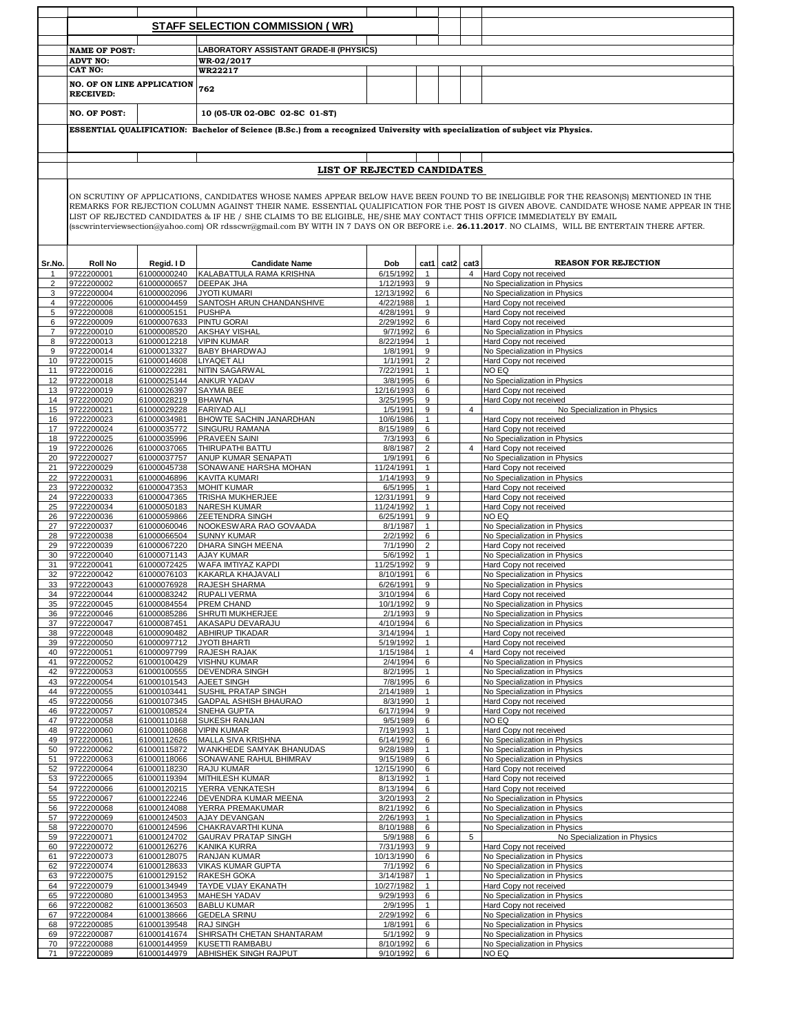|                  |                                                                                                                                                                                                                                                                                                                                                                                                                                                                                                                                                              |                            | <b>STAFF SELECTION COMMISSION (WR)</b>                                                                                        |                             |                     |                |                |                                                              |
|------------------|--------------------------------------------------------------------------------------------------------------------------------------------------------------------------------------------------------------------------------------------------------------------------------------------------------------------------------------------------------------------------------------------------------------------------------------------------------------------------------------------------------------------------------------------------------------|----------------------------|-------------------------------------------------------------------------------------------------------------------------------|-----------------------------|---------------------|----------------|----------------|--------------------------------------------------------------|
|                  |                                                                                                                                                                                                                                                                                                                                                                                                                                                                                                                                                              |                            |                                                                                                                               |                             |                     |                |                |                                                              |
|                  | <b>NAME OF POST:</b>                                                                                                                                                                                                                                                                                                                                                                                                                                                                                                                                         |                            | <b>LABORATORY ASSISTANT GRADE-II (PHYSICS)</b>                                                                                |                             |                     |                |                |                                                              |
|                  | <b>ADVT NO:</b><br>CAT NO:                                                                                                                                                                                                                                                                                                                                                                                                                                                                                                                                   |                            | WR-02/2017<br>WR22217                                                                                                         |                             |                     |                |                |                                                              |
|                  |                                                                                                                                                                                                                                                                                                                                                                                                                                                                                                                                                              |                            |                                                                                                                               |                             |                     |                |                |                                                              |
|                  | <b>NO. OF ON LINE APPLICATION</b><br><b>RECEIVED:</b>                                                                                                                                                                                                                                                                                                                                                                                                                                                                                                        |                            | 762                                                                                                                           |                             |                     |                |                |                                                              |
|                  | <b>NO. OF POST:</b>                                                                                                                                                                                                                                                                                                                                                                                                                                                                                                                                          |                            | 10 (05-UR 02-OBC 02-SC 01-ST)                                                                                                 |                             |                     |                |                |                                                              |
|                  |                                                                                                                                                                                                                                                                                                                                                                                                                                                                                                                                                              |                            | ESSENTIAL QUALIFICATION: Bachelor of Science (B.Sc.) from a recognized University with specialization of subject viz Physics. |                             |                     |                |                |                                                              |
|                  |                                                                                                                                                                                                                                                                                                                                                                                                                                                                                                                                                              |                            |                                                                                                                               |                             |                     |                |                |                                                              |
|                  |                                                                                                                                                                                                                                                                                                                                                                                                                                                                                                                                                              |                            |                                                                                                                               | LIST OF REJECTED CANDIDATES |                     |                |                |                                                              |
|                  | ON SCRUTINY OF APPLICATIONS, CANDIDATES WHOSE NAMES APPEAR BELOW HAVE BEEN FOUND TO BE INELIGIBLE FOR THE REASON(S) MENTIONED IN THE<br>REMARKS FOR REJECTION COLUMN AGAINST THEIR NAME. ESSENTIAL QUALIFICATION FOR THE POST IS GIVEN ABOVE. CANDIDATE WHOSE NAME APPEAR IN THE<br>LIST OF REJECTED CANDIDATES & IF HE / SHE CLAIMS TO BE ELIGIBLE, HE/SHE MAY CONTACT THIS OFFICE IMMEDIATELY BY EMAIL<br>(sscwrinterviewsection@yahoo.com) OR rdsscwr@gmail.com BY WITH IN 7 DAYS ON OR BEFORE i.e. 26.11.2017. NO CLAIMS, WILL BE ENTERTAIN THERE AFTER. |                            |                                                                                                                               |                             |                     |                |                |                                                              |
| Sr.No.           | <b>Roll No</b>                                                                                                                                                                                                                                                                                                                                                                                                                                                                                                                                               | Regid. I D                 | <b>Candidate Name</b>                                                                                                         | Dob                         |                     | cat1 cat2 cat3 |                | <b>REASON FOR REJECTION</b>                                  |
| $\mathbf{1}$     | 9722200001                                                                                                                                                                                                                                                                                                                                                                                                                                                                                                                                                   | 61000000240                | KALABATTULA RAMA KRISHNA                                                                                                      | 6/15/1992                   | $\mathbf{1}$        |                | $\overline{4}$ | Hard Copy not received                                       |
| $\overline{2}$   | 9722200002                                                                                                                                                                                                                                                                                                                                                                                                                                                                                                                                                   | 61000000657                | <b>DEEPAK JHA</b>                                                                                                             | 1/12/1993                   | 9                   |                |                | No Specialization in Physics                                 |
| 3                | 9722200004                                                                                                                                                                                                                                                                                                                                                                                                                                                                                                                                                   | 61000002096                | <b>JYOTI KUMARI</b>                                                                                                           | 12/13/1992                  | 6                   |                |                | No Specialization in Physics                                 |
| $\overline{4}$   | 9722200006                                                                                                                                                                                                                                                                                                                                                                                                                                                                                                                                                   | 61000004459                | SANTOSH ARUN CHANDANSHIVE                                                                                                     | 4/22/1988                   | $\mathbf{1}$        |                |                | Hard Copy not received                                       |
| 5<br>6           | 9722200008<br>9722200009                                                                                                                                                                                                                                                                                                                                                                                                                                                                                                                                     | 61000005151<br>61000007633 | <b>PUSHPA</b><br><b>PINTU GORAI</b>                                                                                           | 4/28/1991<br>2/29/1992      | 9<br>6              |                |                | Hard Copy not received<br>Hard Copy not received             |
| $\overline{7}$   | 9722200010                                                                                                                                                                                                                                                                                                                                                                                                                                                                                                                                                   | 61000008520                | <b>AKSHAY VISHAL</b>                                                                                                          | 9/7/1992                    | 6                   |                |                | No Specialization in Physics                                 |
| 8                | 9722200013                                                                                                                                                                                                                                                                                                                                                                                                                                                                                                                                                   | 61000012218                | <b>VIPIN KUMAR</b>                                                                                                            | 8/22/1994                   | $\mathbf{1}$        |                |                | Hard Copy not received                                       |
| 9                | 9722200014                                                                                                                                                                                                                                                                                                                                                                                                                                                                                                                                                   | 61000013327                | <b>BABY BHARDWAJ</b>                                                                                                          | 1/8/1991                    | 9                   |                |                | No Specialization in Physics                                 |
| 10               | 9722200015                                                                                                                                                                                                                                                                                                                                                                                                                                                                                                                                                   | 61000014608                | <b>LIYAQET ALI</b>                                                                                                            | 1/1/1991                    | $\overline{2}$      |                |                | Hard Copy not received                                       |
| 11               | 9722200016                                                                                                                                                                                                                                                                                                                                                                                                                                                                                                                                                   | 61000022281                | NITIN SAGARWAL                                                                                                                | 7/22/1991                   | $\mathbf{1}$        |                |                | NO EQ                                                        |
| 12               | 9722200018                                                                                                                                                                                                                                                                                                                                                                                                                                                                                                                                                   | 61000025144                | <b>ANKUR YADAV</b>                                                                                                            | 3/8/1995                    | 6                   |                |                | No Specialization in Physics                                 |
| 13<br>14         | 9722200019<br>9722200020                                                                                                                                                                                                                                                                                                                                                                                                                                                                                                                                     | 61000026397<br>61000028219 | SAYMA BEE<br><b>BHAWNA</b>                                                                                                    | 12/16/1993<br>3/25/1995     | 6<br>9              |                |                | Hard Copy not received<br>Hard Copy not received             |
| 15 <sup>15</sup> | 9722200021                                                                                                                                                                                                                                                                                                                                                                                                                                                                                                                                                   | 61000029228 FARIYAD ALI    |                                                                                                                               | 1/5/1991                    | 9                   |                | $\overline{4}$ | No Specialization in Physics                                 |
| 16               | 9722200023                                                                                                                                                                                                                                                                                                                                                                                                                                                                                                                                                   | 61000034981                | BHOWTE SACHIN JANARDHAN                                                                                                       | 10/6/1986                   | $\mathbf{1}$        |                |                | Hard Copy not received                                       |
| 17               | 9722200024                                                                                                                                                                                                                                                                                                                                                                                                                                                                                                                                                   | 61000035772                | SINGURU RAMANA                                                                                                                | 8/15/1989                   | 6                   |                |                | Hard Copy not received                                       |
| 18               | 9722200025                                                                                                                                                                                                                                                                                                                                                                                                                                                                                                                                                   | 61000035996                | PRAVEEN SAINI                                                                                                                 | 7/3/1993                    | 6                   |                |                | No Specialization in Physics                                 |
| 19               | 9722200026                                                                                                                                                                                                                                                                                                                                                                                                                                                                                                                                                   | 61000037065                | THIRUPATHI BATTU                                                                                                              | 8/8/1987                    | $\overline{2}$      |                | $\overline{4}$ | Hard Copy not received                                       |
| 20               | 9722200027<br>9722200029                                                                                                                                                                                                                                                                                                                                                                                                                                                                                                                                     | 61000037757                | ANUP KUMAR SENAPATI<br>SONAWANE HARSHA MOHAN                                                                                  | 1/9/1991<br>11/24/1991      | 6<br>$\mathbf{1}$   |                |                | No Specialization in Physics<br>Hard Copy not received       |
| 21<br>22         | 9722200031                                                                                                                                                                                                                                                                                                                                                                                                                                                                                                                                                   | 61000045738<br>61000046896 | <b>KAVITA KUMARI</b>                                                                                                          | 1/14/1993                   | 9                   |                |                | No Specialization in Physics                                 |
| 23               | 9722200032                                                                                                                                                                                                                                                                                                                                                                                                                                                                                                                                                   | 61000047353                | <b>MOHIT KUMAR</b>                                                                                                            | 6/5/1995                    | $\mathbf{1}$        |                |                | Hard Copy not received                                       |
| 24               | 9722200033                                                                                                                                                                                                                                                                                                                                                                                                                                                                                                                                                   | 61000047365                | <b>TRISHA MUKHERJEE</b>                                                                                                       | 12/31/1991                  | 9                   |                |                | Hard Copy not received                                       |
| 25               | 9722200034                                                                                                                                                                                                                                                                                                                                                                                                                                                                                                                                                   | 61000050183                | <b>NARESH KUMAR</b>                                                                                                           | 11/24/1992                  | $\mathbf{1}$        |                |                | Hard Copy not received                                       |
| 26               | 9722200036                                                                                                                                                                                                                                                                                                                                                                                                                                                                                                                                                   | 61000059866                | <b>ZEETENDRA SINGH</b>                                                                                                        | 6/25/1991                   | 9                   |                |                | NO EQ                                                        |
| 27<br>28         | 9722200037<br>9722200038                                                                                                                                                                                                                                                                                                                                                                                                                                                                                                                                     | 61000060046<br>61000066504 | NOOKESWARA RAO GOVAADA<br><b>SUNNY KUMAR</b>                                                                                  | 8/1/1987<br>2/2/1992        | $\mathbf{1}$<br>6   |                |                | No Specialization in Physics<br>No Specialization in Physics |
| 29               | 9722200039                                                                                                                                                                                                                                                                                                                                                                                                                                                                                                                                                   | 61000067220                | DHARA SINGH MEENA                                                                                                             | 7/1/1990                    | $\overline{2}$      |                |                | Hard Copy not received                                       |
| 30               | 9722200040                                                                                                                                                                                                                                                                                                                                                                                                                                                                                                                                                   | 61000071143                | <b>AJAY KUMAR</b>                                                                                                             | 5/6/1992                    | $\mathbf{1}$        |                |                | No Specialization in Physics                                 |
| 31               | 9722200041                                                                                                                                                                                                                                                                                                                                                                                                                                                                                                                                                   | 61000072425                | WAFA IMTIYAZ KAPDI                                                                                                            | 11/25/1992                  | 9                   |                |                | Hard Copy not received                                       |
| 32               | 9722200042                                                                                                                                                                                                                                                                                                                                                                                                                                                                                                                                                   | 61000076103                | KAKARLA KHAJAVALI                                                                                                             | 8/10/1991                   | 6                   |                |                | No Specialization in Physics                                 |
| 33               | 9722200043                                                                                                                                                                                                                                                                                                                                                                                                                                                                                                                                                   | 61000076928                | RAJESH SHARMA                                                                                                                 | 6/26/1991                   | 9                   |                |                | No Specialization in Physics                                 |
| 35               | 9722200044<br>9722200045                                                                                                                                                                                                                                                                                                                                                                                                                                                                                                                                     | 61000084554                | 61000083242 RUPALI VERMA<br><b>PREM CHAND</b>                                                                                 | 3/10/1994 6<br>10/1/1992    | 9                   |                |                | Hard Copy not received<br>No Specialization in Physics       |
| 36               | 9722200046                                                                                                                                                                                                                                                                                                                                                                                                                                                                                                                                                   | 61000085286                | SHRUTI MUKHERJEE                                                                                                              | 2/1/1993                    | 9                   |                |                | No Specialization in Physics                                 |
| 37               | 9722200047                                                                                                                                                                                                                                                                                                                                                                                                                                                                                                                                                   | 61000087451                | AKASAPU DEVARAJU                                                                                                              | 4/10/1994                   | 6                   |                |                | No Specialization in Physics                                 |
| 38               | 9722200048                                                                                                                                                                                                                                                                                                                                                                                                                                                                                                                                                   | 61000090482                | <b>ABHIRUP TIKADAR</b>                                                                                                        | 3/14/1994                   | $\mathbf{1}$        |                |                | Hard Copy not received                                       |
| 39               | 9722200050                                                                                                                                                                                                                                                                                                                                                                                                                                                                                                                                                   | 61000097712                | <b>JYOTI BHARTI</b>                                                                                                           | 5/19/1992                   | $\mathbf{1}$        |                |                | Hard Copy not received                                       |
| 40               | 9722200051                                                                                                                                                                                                                                                                                                                                                                                                                                                                                                                                                   | 61000097799                | RAJESH RAJAK                                                                                                                  | 1/15/1984<br>2/4/1994       | $\mathbf{1}$        |                | $\overline{4}$ | Hard Copy not received<br>No Specialization in Physics       |
| 41<br>42         | 9722200052<br>9722200053                                                                                                                                                                                                                                                                                                                                                                                                                                                                                                                                     | 61000100429<br>61000100555 | <b>VISHNU KUMAR</b><br><b>DEVENDRA SINGH</b>                                                                                  | 8/2/1995                    | 6<br>$\mathbf{1}$   |                |                | No Specialization in Physics                                 |
| 43               | 9722200054                                                                                                                                                                                                                                                                                                                                                                                                                                                                                                                                                   | 61000101543                | AJEET SINGH                                                                                                                   | 7/8/1995                    | 6                   |                |                | No Specialization in Physics                                 |
| 44               | 9722200055                                                                                                                                                                                                                                                                                                                                                                                                                                                                                                                                                   | 61000103441                | SUSHIL PRATAP SINGH                                                                                                           | 2/14/1989                   | 1                   |                |                | No Specialization in Physics                                 |
| 45               | 9722200056                                                                                                                                                                                                                                                                                                                                                                                                                                                                                                                                                   | 61000107345                | GADPAL ASHISH BHAURAO                                                                                                         | 8/3/1990                    | $\mathbf{1}$        |                |                | Hard Copy not received                                       |
| 46               | 9722200057                                                                                                                                                                                                                                                                                                                                                                                                                                                                                                                                                   | 61000108524                | SNEHA GUPTA                                                                                                                   | 6/17/1994                   | 9                   |                |                | Hard Copy not received                                       |
| 47<br>48         | 9722200058<br>9722200060                                                                                                                                                                                                                                                                                                                                                                                                                                                                                                                                     | 61000110168<br>61000110868 | <b>SUKESH RANJAN</b><br><b>VIPIN KUMAR</b>                                                                                    | 9/5/1989<br>7/19/1993       | 6<br>1              |                |                | NO EQ<br>Hard Copy not received                              |
| 49               | 9722200061                                                                                                                                                                                                                                                                                                                                                                                                                                                                                                                                                   | 61000112626                | MALLA SIVA KRISHNA                                                                                                            | 6/14/1992                   | 6                   |                |                | No Specialization in Physics                                 |
| 50               | 9722200062                                                                                                                                                                                                                                                                                                                                                                                                                                                                                                                                                   | 61000115872                | WANKHEDE SAMYAK BHANUDAS                                                                                                      | 9/28/1989                   | $\mathbf{1}$        |                |                | No Specialization in Physics                                 |
| 51               | 9722200063                                                                                                                                                                                                                                                                                                                                                                                                                                                                                                                                                   | 61000118066                | SONAWANE RAHUL BHIMRAV                                                                                                        | 9/15/1989                   | 6                   |                |                | No Specialization in Physics                                 |
| 52               | 9722200064                                                                                                                                                                                                                                                                                                                                                                                                                                                                                                                                                   | 61000118230                | RAJU KUMAR                                                                                                                    | 12/15/1990                  | 6                   |                |                | Hard Copy not received                                       |
| 53               | 9722200065                                                                                                                                                                                                                                                                                                                                                                                                                                                                                                                                                   | 61000119394                | MITHILESH KUMAR                                                                                                               | 8/13/1992                   | $\mathbf{1}$        |                |                | Hard Copy not received                                       |
| 54<br>55         | 9722200066<br>9722200067                                                                                                                                                                                                                                                                                                                                                                                                                                                                                                                                     | 61000120215<br>61000122246 | YERRA VENKATESH<br>DEVENDRA KUMAR MEENA                                                                                       | 8/13/1994<br>3/20/1993      | 6<br>$\overline{2}$ |                |                | Hard Copy not received<br>No Specialization in Physics       |
| 56               | 9722200068                                                                                                                                                                                                                                                                                                                                                                                                                                                                                                                                                   | 61000124088                | YERRA PREMAKUMAR                                                                                                              | 8/21/1992                   | 6                   |                |                | No Specialization in Physics                                 |
| 57               | 9722200069                                                                                                                                                                                                                                                                                                                                                                                                                                                                                                                                                   | 61000124503                | AJAY DEVANGAN                                                                                                                 | 2/26/1993                   | 1                   |                |                | No Specialization in Physics                                 |
| 58               | 9722200070                                                                                                                                                                                                                                                                                                                                                                                                                                                                                                                                                   | 61000124596                | CHAKRAVARTHI KUNA                                                                                                             | 8/10/1988                   | 6                   |                |                | No Specialization in Physics                                 |
| 59               | 9722200071                                                                                                                                                                                                                                                                                                                                                                                                                                                                                                                                                   | 61000124702                | <b>GAURAV PRATAP SINGH</b>                                                                                                    | 5/9/1988                    | 6                   |                | 5              | No Specialization in Physics                                 |
| 60<br>61         | 9722200072<br>9722200073                                                                                                                                                                                                                                                                                                                                                                                                                                                                                                                                     | 61000126276<br>61000128075 | <b>KANIKA KURRA</b><br>RANJAN KUMAR                                                                                           | 7/31/1993<br>10/13/1990     | 9<br>6              |                |                | Hard Copy not received<br>No Specialization in Physics       |
| 62               | 9722200074                                                                                                                                                                                                                                                                                                                                                                                                                                                                                                                                                   | 61000128633                | <b>VIKAS KUMAR GUPTA</b>                                                                                                      | 7/1/1992                    | 6                   |                |                | No Specialization in Physics                                 |
| 63               | 9722200075                                                                                                                                                                                                                                                                                                                                                                                                                                                                                                                                                   | 61000129152                | RAKESH GOKA                                                                                                                   | 3/14/1987                   | $\mathbf{1}$        |                |                | No Specialization in Physics                                 |
| 64               | 9722200079                                                                                                                                                                                                                                                                                                                                                                                                                                                                                                                                                   | 61000134949                | TAYDE VIJAY EKANATH                                                                                                           | 10/27/1982                  | $\mathbf{1}$        |                |                | Hard Copy not received                                       |
| 65               | 9722200080                                                                                                                                                                                                                                                                                                                                                                                                                                                                                                                                                   | 61000134953                | MAHESH YADAV                                                                                                                  | 9/29/1993                   | 6                   |                |                | No Specialization in Physics                                 |
| 66               | 9722200082                                                                                                                                                                                                                                                                                                                                                                                                                                                                                                                                                   | 61000136503                | <b>BABLU KUMAR</b>                                                                                                            | 2/9/1995                    | $\mathbf{1}$        |                |                | Hard Copy not received                                       |
| 67               | 9722200084                                                                                                                                                                                                                                                                                                                                                                                                                                                                                                                                                   | 61000138666                | <b>GEDELA SRINU</b>                                                                                                           | 2/29/1992                   | 6                   |                |                | No Specialization in Physics                                 |
| 68<br>69         | 9722200085<br>9722200087                                                                                                                                                                                                                                                                                                                                                                                                                                                                                                                                     | 61000139548<br>61000141674 | RAJ SINGH<br>SHIRSATH CHETAN SHANTARAM                                                                                        | 1/8/1991<br>5/1/1992        | 6<br>9              |                |                | No Specialization in Physics<br>No Specialization in Physics |
| 70               | 9722200088                                                                                                                                                                                                                                                                                                                                                                                                                                                                                                                                                   | 61000144959                | KUSETTI RAMBABU                                                                                                               | 8/10/1992                   | 6                   |                |                | No Specialization in Physics                                 |
| 71               | 9722200089                                                                                                                                                                                                                                                                                                                                                                                                                                                                                                                                                   |                            | 61000144979 ABHISHEK SINGH RAJPUT                                                                                             | 9/10/1992                   | $6\overline{}$      |                |                | NO EQ                                                        |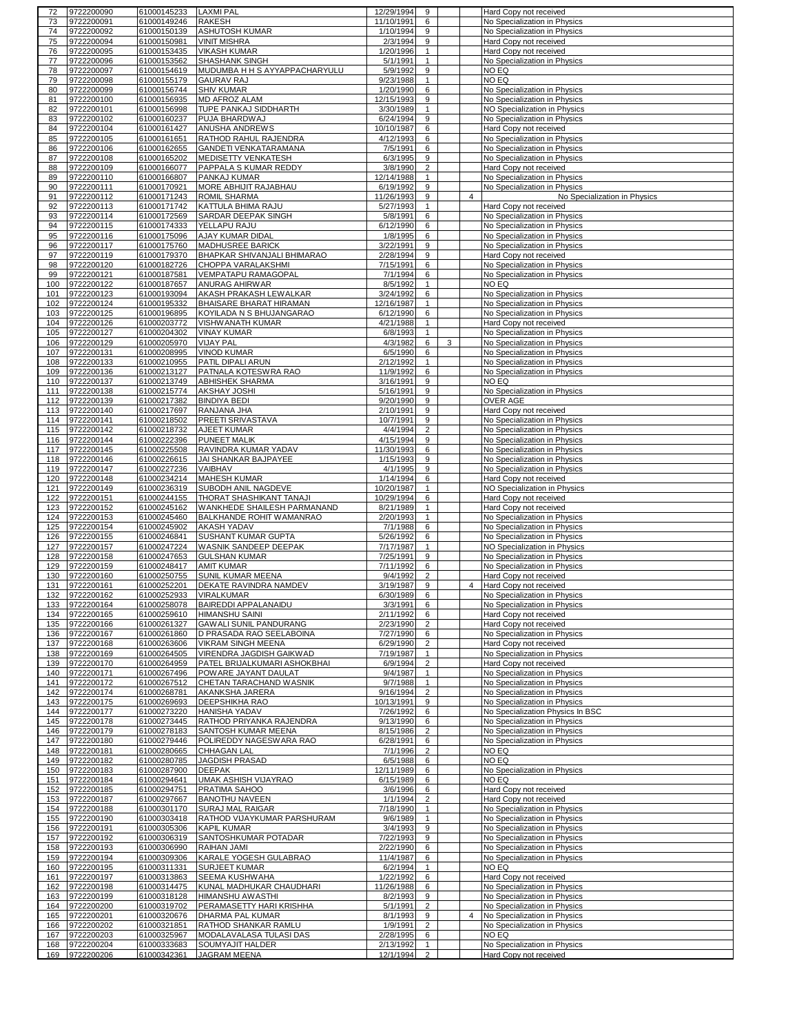| 72         | 9722200090               | 61000145233 LAXMI PAL      |                                         | 12/29/1994             | 9                   |   |                | Hard Copy not received                                 |
|------------|--------------------------|----------------------------|-----------------------------------------|------------------------|---------------------|---|----------------|--------------------------------------------------------|
| 73         | 9722200091               | 61000149246                | <b>RAKESH</b>                           | 11/10/1991             | 6                   |   |                | No Specialization in Physics                           |
| 74         | 9722200092               | 61000150139                | <b>ASHUTOSH KUMAR</b>                   | 1/10/1994              | 9                   |   |                | No Specialization in Physics                           |
| 75         | 9722200094               | 61000150981                | <b>VINIT MISHRA</b>                     | 2/3/1994               | 9                   |   |                | Hard Copy not received                                 |
| 76         | 9722200095               | 61000153435                | <b>VIKASH KUMAR</b>                     | 1/20/1996              | $\mathbf{1}$        |   |                | Hard Copy not received                                 |
| 77         | 9722200096               | 61000153562                | SHASHANK SINGH                          | 5/1/1991               | $\mathbf{1}$        |   |                | No Specialization in Physics                           |
| 78         | 9722200097               | 61000154619                | MUDUMBA H H S AYYAPPACHARYULU           | 5/9/1992               | 9                   |   |                | NO EQ                                                  |
| 79         | 9722200098               | 61000155179                | <b>GAURAV RAJ</b>                       | 9/23/1988              | $\mathbf{1}$        |   |                | NO EQ                                                  |
| 80         | 9722200099               | 61000156744                | <b>SHIV KUMAR</b>                       | 1/20/1990              | 6                   |   |                | No Specialization in Physics                           |
| 81         | 9722200100               | 61000156935                | MD AFROZ ALAM                           | 12/15/1993             | 9                   |   |                | No Specialization in Physics                           |
| 82         | 9722200101               | 61000156998                | TUPE PANKAJ SIDDHARTH                   | 3/30/1989              | 1                   |   |                | NO Specialization in Physics                           |
| 83         | 9722200102               | 61000160237                | PUJA BHARDWAJ                           | 6/24/1994              | 9                   |   |                | No Specialization in Physics                           |
| 84         | 9722200104               | 61000161427                | ANUSHA ANDREWS                          | 10/10/1987             | 6                   |   |                | Hard Copy not received                                 |
| 85         | 9722200105               | 61000161651                | RATHOD RAHUL RAJENDRA                   | 4/12/1993              | 6                   |   |                | No Specialization in Physics                           |
| 86         | 9722200106               | 61000162655                | GANDETI VENKATARAMANA                   | 7/5/1991               | 6                   |   |                | No Specialization in Physics                           |
| 87         | 9722200108               |                            | MEDISETTY VENKATESH                     | 6/3/1995               | 9                   |   |                | No Specialization in Physics                           |
|            | 9722200109               | 61000165202                |                                         |                        | $\overline{2}$      |   |                |                                                        |
| 88         |                          | 61000166077                | PAPPALA S KUMAR REDDY                   | 3/8/1990               |                     |   |                | Hard Copy not received                                 |
| 89         | 9722200110               | 61000166807                | PANKAJ KUMAR                            | 12/14/1988             | $\mathbf{1}$        |   |                | No Specialization in Physics                           |
| 90         | 9722200111               | 61000170921                | MORE ABHIJIT RAJABHAU                   | 6/19/1992              | 9                   |   |                | No Specialization in Physics                           |
| 91         | 9722200112               | 61000171243                | <b>ROMIL SHARMA</b>                     | 11/26/1993             | 9                   |   | $\overline{4}$ | No Specialization in Physics                           |
| 92         | 9722200113               | 61000171742                | KATTULA BHIMA RAJU                      | 5/27/1993              | $\mathbf{1}$        |   |                | Hard Copy not received                                 |
| 93         | 9722200114               | 61000172569                | SARDAR DEEPAK SINGH                     | 5/8/1991               | 6                   |   |                | No Specialization in Physics                           |
| 94         | 9722200115               | 61000174333                | YELLAPU RAJU                            | 6/12/1990              | 6                   |   |                | No Specialization in Physics                           |
| 95         | 9722200116               | 61000175096                | <b>AJAY KUMAR DIDAL</b>                 | 1/8/1995               | 6                   |   |                | No Specialization in Physics                           |
| 96         | 9722200117               | 61000175760                | MADHUSREE BARICK                        | 3/22/1991              | 9                   |   |                | No Specialization in Physics                           |
| 97         | 9722200119               | 61000179370                | BHAPKAR SHIVANJALI BHIMARAO             | 2/28/1994              | 9                   |   |                | Hard Copy not received                                 |
| 98         | 9722200120               | 61000182726                | CHOPPA VARALAKSHMI                      | 7/15/1991              | 6                   |   |                | No Specialization in Physics                           |
| 99         | 9722200121               | 61000187581                | <b>VEMPATAPU RAMAGOPAL</b>              | 7/1/1994               | 6                   |   |                | No Specialization in Physics                           |
| 100        | 9722200122               | 61000187657                | ANURAG AHIRWAR                          | 8/5/1992               | 1                   |   |                | NO EQ                                                  |
| 101        | 9722200123               | 61000193094                | AKASH PRAKASH LEWALKAR                  | 3/24/1992              | 6                   |   |                | No Specialization in Physics                           |
| 102        | 9722200124               | 61000195332                | BHAISARE BHARAT HIRAMAN                 | 12/16/1987             | $\mathbf{1}$        |   |                | No Specialization in Physics                           |
| 103        | 9722200125               | 61000196895                | KOYILADA N S BHUJANGARAO                | 6/12/1990              | 6                   |   |                | No Specialization in Physics                           |
| 104        | 9722200126               | 61000203772                | VISHWANATH KUMAR                        | 4/21/1988              | 1                   |   |                | Hard Copy not received                                 |
| 105        | 9722200127               | 61000204302                | <b>VINAY KUMAR</b>                      | 6/8/1993               | $\mathbf{1}$        |   |                | No Specialization in Physics                           |
| 106        | 9722200129               | 61000205970                | <b>VIJAY PAL</b>                        | 4/3/1982               | 6                   | 3 |                | No Specialization in Physics                           |
| 107        | 9722200131               | 61000208995                | <b>VINOD KUMAR</b>                      | 6/5/1990               | 6                   |   |                | No Specialization in Physics                           |
| 108        | 9722200133               | 61000210955                | PATIL DIPALI ARUN                       | 2/12/1992              | 1                   |   |                | No Specialization in Physics                           |
| 109        | 9722200136               | 61000213127                | PATNALA KOTESWRA RAO                    | 11/9/1992              | 6                   |   |                | No Specialization in Physics                           |
| 110        | 9722200137               | 61000213749                | <b>ABHISHEK SHARMA</b>                  | 3/16/1991              | 9                   |   |                | NO EQ                                                  |
|            | 9722200138               | 61000215774                |                                         | 5/16/1991              | 9                   |   |                |                                                        |
| 111        |                          |                            | AKSHAY JOSHI                            |                        |                     |   |                | No Specialization in Physics                           |
| 112        | 9722200139               | 61000217382                | <b>BINDIYA BEDI</b>                     | 9/20/1990              | 9                   |   |                | OVER AGE                                               |
| 113        | 9722200140               | 61000217697                | RANJANA JHA                             | 2/10/1991              | 9                   |   |                | Hard Copy not received                                 |
| 114        | 9722200141               | 61000218502                | PREETI SRIVASTAVA                       | 10/7/1991              | 9                   |   |                | No Specialization in Physics                           |
| 115        | 9722200142               | 61000218732                | AJEET KUMAR                             | 4/4/1994               | $\overline{2}$      |   |                | No Specialization in Physics                           |
| 116        | 9722200144               | 61000222396                | <b>PUNEET MALIK</b>                     | 4/15/1994              | 9                   |   |                | No Specialization in Physics                           |
| 117        | 9722200145               | 61000225508                | RAVINDRA KUMAR YADAV                    | 11/30/1993             | 6                   |   |                | No Specialization in Physics                           |
| 118        | 9722200146               | 61000226615                | JAI SHANKAR BAJPAYEE                    | 1/15/1993              | 9                   |   |                | No Specialization in Physics                           |
| 119        | 9722200147               | 61000227236                | VAIBHAV                                 | 4/1/1995               | 9                   |   |                | No Specialization in Physics                           |
| 120        | 9722200148               | 61000234214                | <b>MAHESH KUMAR</b>                     | 1/14/1994              | 6                   |   |                | Hard Copy not received                                 |
| 121        | 9722200149               | 61000236319                | SUBODH ANIL NAGDEVE                     | 10/20/1987             | $\mathbf{1}$        |   |                | NO Specialization in Physics                           |
| 122        | 9722200151               | 61000244155                | THORAT SHASHIKANT TANAJI                | 10/29/1994             | 6                   |   |                | Hard Copy not received                                 |
| 123        | 9722200152               | 61000245162                | WANKHEDE SHAILESH PARMANAND             | 8/21/1989              | $\mathbf{1}$        |   |                | Hard Copy not received                                 |
| 124        | 9722200153               | 61000245460                | BALKHANDE ROHIT WAMANRAO                | 2/20/1993              | 1                   |   |                | No Specialization in Physics                           |
| 125        | 9722200154               | 61000245902                | <b>AKASH YADAV</b>                      | 7/1/1988               | 6                   |   |                | No Specialization in Physics                           |
| 126        | 9722200155               | 61000246841                | <b>SUSHANT KUMAR GUPTA</b>              | 5/26/1992              | 6                   |   |                | No Specialization in Physics                           |
| 127        | 9722200157               | 61000247224                | WASNIK SANDEEP DEEPAK                   | 7/17/1987              | $\mathbf{1}$        |   |                | NO Specialization in Physics                           |
| 128        | 9722200158               | 61000247653                | <b>GULSHAN KUMAR</b>                    | 7/25/1991              | 9                   |   |                | No Specialization in Physics                           |
| 129        | 9722200159               | 61000248417                | <b>AMIT KUMAR</b>                       | 7/11/1992              | 6                   |   |                | No Specialization in Physics                           |
| 130        | 9722200160               | 61000250755                | SUNIL KUMAR MEENA                       | 9/4/1992               | $\overline{2}$      |   |                | Hard Copy not received                                 |
| 131        | 9722200161               | 61000252201                | DEKATE RAVINDRA NAMDEV                  | 3/19/1987              | 9                   |   | $\overline{4}$ | Hard Copy not received                                 |
|            | 132 9722200162           |                            | 61000252933 VIRALKUMAR                  | 6/30/1989              | 6                   |   |                | No Specialization in Physics                           |
|            | 133 9722200164           |                            | 61000258078 BAIREDDI APPALANAIDU        | 3/3/1991               | 6                   |   |                | No Specialization in Physics                           |
| 134        | 9722200165               | 61000259610                | <b>HIMANSHU SAINI</b>                   | 2/11/1992              | 6                   |   |                | Hard Copy not received                                 |
| 135        | 9722200166               | 61000261327                | <b>GAWALI SUNIL PANDURANG</b>           | 2/23/1990              | $\overline{2}$      |   |                | Hard Copy not received                                 |
| 136        | 9722200167               | 61000261860                | D PRASADA RAO SEELABOINA                | 7/27/1990              | 6                   |   |                | No Specialization in Physics                           |
| 137        | 9722200168               | 61000263606                | <b>VIKRAM SINGH MEENA</b>               | 6/29/1990              | $\overline{2}$      |   |                | Hard Copy not received                                 |
| 138        | 9722200169               | 61000264505                | VIRENDRA JAGDISH GAIKWAD                |                        | $\mathbf{1}$        |   |                | No Specialization in Physics                           |
| 139        | 9722200170               | 61000264959                | PATEL BRIJALKUMARI ASHOKBHAI            | 7/19/1987<br>6/9/1994  | $\overline{2}$      |   |                | Hard Copy not received                                 |
| 140        |                          |                            |                                         | 9/4/1987               | $\mathbf{1}$        |   |                |                                                        |
|            | 9722200171               | 61000267496                | POWARE JAYANT DAULAT                    |                        |                     |   |                | No Specialization in Physics                           |
| 141        | 9722200172               | 61000267512                | CHETAN TARACHAND WASNIK                 | 9/7/1988               | $\mathbf{1}$        |   |                | No Specialization in Physics                           |
| 142        | 9722200174               | 61000268781                | AKANKSHA JARERA                         | 9/16/1994              | $\overline{2}$      |   |                | No Specialization in Physics                           |
| 143        | 9722200175               | 61000269693                | DEEPSHIKHA RAO                          | 10/13/1991             | 9                   |   |                | No Specialization in Physics                           |
| 144        | 9722200177               | 61000273220                | <b>HANISHA YADAV</b>                    | 7/26/1992              | 6                   |   |                | No Specialization Physics In BSC                       |
| 145        | 9722200178               | 61000273445                | RATHOD PRIYANKA RAJENDRA                | 9/13/1990              | 6                   |   |                | No Specialization in Physics                           |
| 146        | 9722200179               | 61000278183                | SANTOSH KUMAR MEENA                     | 8/15/1986              | $\overline{2}$      |   |                | No Specialization in Physics                           |
| 147        | 9722200180               | 61000279446                | POLIREDDY NAGESWARA RAO                 | 6/28/1991              | 6                   |   |                | No Specialization in Physics                           |
| 148        | 9722200181               | 61000280665                | CHHAGAN LAL                             | 7/1/1996               | $\overline{2}$      |   |                | NO EQ                                                  |
| 149        | 9722200182               | 61000280785                | JAGDISH PRASAD                          | 6/5/1988               | 6                   |   |                | NO EQ                                                  |
| 150        | 9722200183               | 61000287900                | <b>DEEPAK</b>                           | 12/11/1989             | 6                   |   |                | No Specialization in Physics                           |
| 151        | 9722200184               | 61000294641                | UMAK ASHISH VIJAYRAO                    | 6/15/1989              | 6                   |   |                | NO EQ                                                  |
| 152        | 9722200185               | 61000294751                | PRATIMA SAHOO                           | 3/6/1996               | 6                   |   |                | Hard Copy not received                                 |
| 153        | 9722200187               | 61000297667                | <b>BANOTHU NAVEEN</b>                   | 1/1/1994               | $\overline{2}$      |   |                | Hard Copy not received                                 |
| 154        | 9722200188               | 61000301170                | <b>SURAJ MAL RAIGAR</b>                 | 7/18/1990              | $\mathbf{1}$        |   |                | No Specialization in Physics                           |
|            | 155 9722200190           | 61000303418                | RATHOD VIJAYKUMAR PARSHURAM             | 9/6/1989               | 1                   |   |                | No Specialization in Physics                           |
| 156        |                          | 61000305306                | <b>KAPIL KUMAR</b>                      | 3/4/1993               | 9                   |   |                | No Specialization in Physics                           |
|            |                          |                            |                                         | 7/22/1993              | 9                   |   |                | No Specialization in Physics                           |
|            | 9722200191               |                            |                                         |                        |                     |   |                |                                                        |
| 157        | 9722200192               | 61000306319                | SANTOSHKUMAR POTADAR                    |                        |                     |   |                |                                                        |
| 158        | 9722200193               | 61000306990                | RAIHAN JAMI                             | 2/22/1990              | 6                   |   |                | No Specialization in Physics                           |
| 159        | 9722200194               | 61000309306                | KARALE YOGESH GULABRAO                  | 11/4/1987              | 6                   |   |                | No Specialization in Physics                           |
| 160        | 9722200195               | 61000311331                | SURJEET KUMAR                           | 6/2/1994               | 1                   |   |                | NO EQ                                                  |
| 161        | 9722200197               | 61000313863                | SEEMA KUSHWAHA                          | 1/22/1992              | 6                   |   |                | Hard Copy not received                                 |
| 162        | 9722200198               | 61000314475                | KUNAL MADHUKAR CHAUDHARI                | 11/26/1988             | 6                   |   |                | No Specialization in Physics                           |
| 163        | 9722200199               | 61000318128                | HIMANSHU AWASTHI                        | 8/2/1993               | 9                   |   |                | No Specialization in Physics                           |
| 164        | 9722200200               | 61000319702                | PERAMASETTY HARI KRISHHA                | 5/1/1991               | $\overline{2}$      |   |                | No Specialization in Physics                           |
| 165        | 9722200201               | 61000320676                | DHARMA PAL KUMAR                        | 8/1/1993               | 9                   |   | $\overline{4}$ | No Specialization in Physics                           |
| 166        | 9722200202               | 61000321851                | RATHOD SHANKAR RAMLU                    | 1/9/1991               | $\overline{2}$      |   |                | No Specialization in Physics                           |
| 167        | 9722200203               | 61000325967                | MODALAVALASA TULASI DAS                 | 2/28/1995              | 6                   |   |                | NO EQ                                                  |
| 168<br>169 | 9722200204<br>9722200206 | 61000333683<br>61000342361 | SOUMYAJIT HALDER<br><b>JAGRAM MEENA</b> | 2/13/1992<br>12/1/1994 | 1<br>$\overline{2}$ |   |                | No Specialization in Physics<br>Hard Copy not received |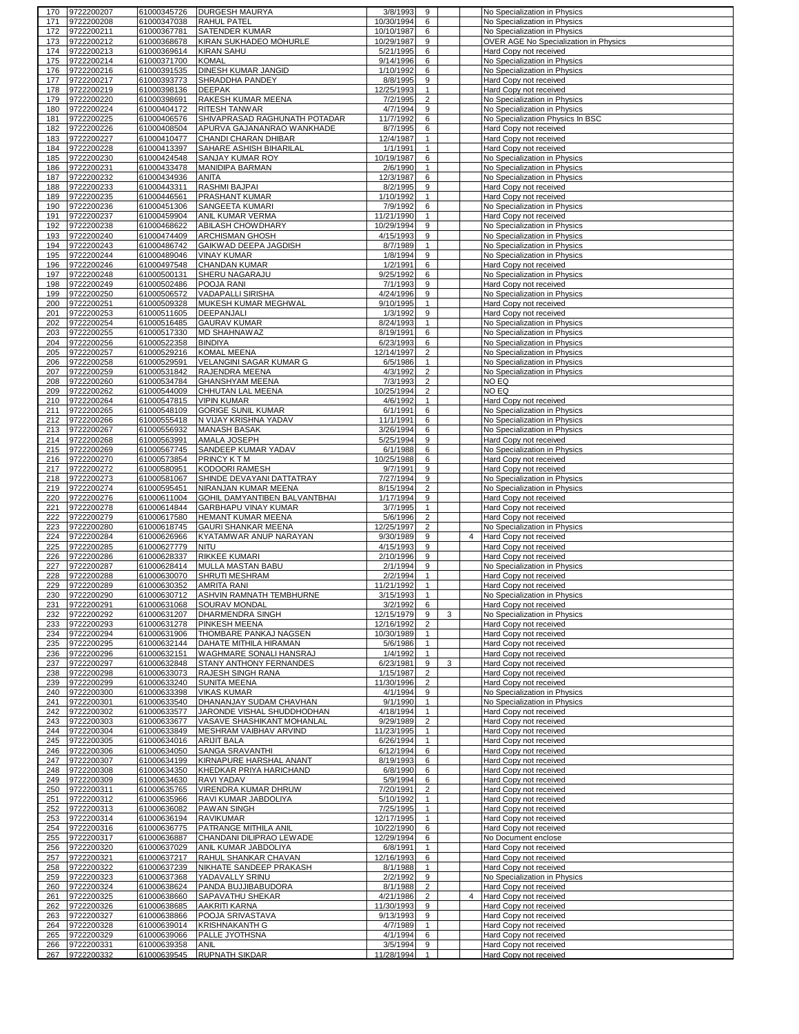| 170 | 9722200207               | 61000345726 | <b>DURGESH MAURYA</b>                                | 3/8/1993            | 9              |   |                | No Specialization in Physics                     |
|-----|--------------------------|-------------|------------------------------------------------------|---------------------|----------------|---|----------------|--------------------------------------------------|
| 171 | 9722200208               | 61000347038 | <b>RAHUL PATEL</b>                                   | 10/30/1994          | 6              |   |                | No Specialization in Physics                     |
| 172 | 9722200211               | 61000367781 | SATENDER KUMAR                                       | 10/10/1987          | 6              |   |                | No Specialization in Physics                     |
| 173 | 9722200212               | 61000368678 | KIRAN SUKHADEO MOHURLE                               | 10/29/1987          | 9              |   |                | OVER AGE No Specialization in Physics            |
| 174 | 9722200213               | 61000369614 | <b>KIRAN SAHU</b>                                    | 5/21/1995           | 6              |   |                | Hard Copy not received                           |
| 175 | 9722200214               | 61000371700 | <b>KOMAL</b>                                         | 9/14/1996           | 6              |   |                | No Specialization in Physics                     |
| 176 | 9722200216               | 61000391535 | DINESH KUMAR JANGID                                  | 1/10/1992           | 6              |   |                | No Specialization in Physics                     |
| 177 | 9722200217               | 61000393773 | SHRADDHA PANDEY                                      | 8/8/1995            | 9              |   |                |                                                  |
| 178 | 9722200219               | 61000398136 | <b>DEEPAK</b>                                        | 12/25/1993          | $\mathbf{1}$   |   |                | Hard Copy not received<br>Hard Copy not received |
|     |                          | 61000398691 |                                                      |                     |                |   |                |                                                  |
| 179 | 9722200220               |             | RAKESH KUMAR MEENA                                   | 7/2/1995            | $\overline{2}$ |   |                | No Specialization in Physics                     |
| 180 | 9722200224               | 61000404172 | RITESH TANWAR                                        | 4/7/1994            | 9              |   |                | No Specialization in Physics                     |
| 181 | 9722200225               | 61000406576 | SHIVAPRASAD RAGHUNATH POTADAR                        | 11/7/1992           | 6              |   |                | No Specialization Physics In BSC                 |
| 182 | 9722200226               | 61000408504 | APURVA GAJANANRAO WANKHADE                           | 8/7/1995            | 6              |   |                | Hard Copy not received                           |
| 183 | 9722200227               | 61000410477 | CHANDI CHARAN DHIBAR                                 | 12/4/1987           | $\mathbf{1}$   |   |                | Hard Copy not received                           |
| 184 | 9722200228               | 61000413397 | SAHARE ASHISH BIHARILAL                              | 1/1/1991            | $\mathbf{1}$   |   |                | Hard Copy not received                           |
| 185 | 9722200230               | 61000424548 | SANJAY KUMAR ROY                                     | 10/19/1987          | 6              |   |                | No Specialization in Physics                     |
| 186 | 9722200231               | 61000433478 | MANIDIPA BARMAN                                      | 2/6/1990            | $\mathbf{1}$   |   |                | No Specialization in Physics                     |
| 187 | 9722200232               | 61000434936 | <b>ANITA</b>                                         | 12/3/1987           | 6              |   |                | No Specialization in Physics                     |
| 188 | 9722200233               | 61000443311 | RASHMI BAJPAI                                        | 8/2/1995            | 9              |   |                | Hard Copy not received                           |
| 189 | 9722200235               | 61000446561 | PRASHANT KUMAR                                       | 1/10/1992           | 1              |   |                | Hard Copy not received                           |
| 190 | 9722200236               | 61000451306 | SANGEETA KUMARI                                      | 7/9/1992            | 6              |   |                | No Specialization in Physics                     |
| 191 | 9722200237               | 61000459904 | ANIL KUMAR VERMA                                     | 11/21/1990          | $\mathbf{1}$   |   |                | Hard Copy not received                           |
| 192 | 9722200238               | 61000468622 | ABILASH CHOWDHARY                                    | 10/29/1994          | 9              |   |                | No Specialization in Physics                     |
| 193 | 9722200240               | 61000474409 | ARCHISMAN GHOSH                                      | 4/15/1993           | 9              |   |                | No Specialization in Physics                     |
| 194 | 9722200243               | 61000486742 | GAIKWAD DEEPA JAGDISH                                | 8/7/1989            | $\mathbf{1}$   |   |                | No Specialization in Physics                     |
| 195 | 9722200244               | 61000489046 | <b>VINAY KUMAR</b>                                   | 1/8/1994            | 9              |   |                | No Specialization in Physics                     |
| 196 | 9722200246               | 61000497548 | CHANDAN KUMAR                                        | 1/2/1991            | 6              |   |                | Hard Copy not received                           |
| 197 | 9722200248               | 61000500131 | SHERU NAGARAJU                                       | 9/25/1992           | 6              |   |                | No Specialization in Physics                     |
|     |                          | 61000502486 |                                                      |                     |                |   |                |                                                  |
| 198 | 9722200249<br>9722200250 |             | POOJA RANI<br><b>VADAPALLI SIRISHA</b>               | 7/1/1993            | 9<br>9         |   |                | Hard Copy not received                           |
| 199 |                          | 61000506572 |                                                      | 4/24/1996           |                |   |                | No Specialization in Physics                     |
| 200 | 9722200251               | 61000509328 | MUKESH KUMAR MEGHWAL                                 | 9/10/1995           | $\mathbf{1}$   |   |                | Hard Copy not received                           |
| 201 | 9722200253               | 61000511605 | DEEPANJALI                                           | $\frac{1}{3}$ /1992 | 9              |   |                | Hard Copy not received                           |
| 202 | 9722200254               | 61000516485 | <b>GAURAV KUMAR</b>                                  | 8/24/1993           | $\mathbf{1}$   |   |                | No Specialization in Physics                     |
| 203 | 9722200255               | 61000517330 | <b>MD SHAHNAWAZ</b>                                  | 8/19/1991           | 6              |   |                | No Specialization in Physics                     |
| 204 | 9722200256               | 61000522358 | <b>BINDIYA</b>                                       | 6/23/1993           | 6              |   |                | No Specialization in Physics                     |
| 205 | 9722200257               | 61000529216 | <b>KOMAL MEENA</b>                                   | 12/14/1997          | $\overline{2}$ |   |                | No Specialization in Physics                     |
| 206 | 9722200258               | 61000529591 | VELANGINI SAGAR KUMAR G                              | 6/5/1986            | $\mathbf{1}$   |   |                | No Specialization in Physics                     |
| 207 | 9722200259               | 61000531842 | RAJENDRA MEENA                                       | 4/3/1992            | $\overline{2}$ |   |                | No Specialization in Physics                     |
| 208 | 9722200260               | 61000534784 | <b>GHANSHYAM MEENA</b>                               | 7/3/1993            | $\overline{2}$ |   |                | NO EQ                                            |
| 209 | 9722200262               | 61000544009 | CHHUTAN LAL MEENA                                    | 10/25/1994          | $\overline{2}$ |   |                | NO EQ                                            |
| 210 | 9722200264               | 61000547815 | <b>VIPIN KUMAR</b>                                   | 4/6/1992            | $\mathbf{1}$   |   |                | Hard Copy not received                           |
| 211 | 9722200265               | 61000548109 | <b>GORIGE SUNIL KUMAR</b>                            | 6/1/1991            | 6              |   |                | No Specialization in Physics                     |
| 212 | 9722200266               | 61000555418 | N VIJAY KRISHNA YADAV                                | 11/1/1991           | 6              |   |                | No Specialization in Physics                     |
| 213 | 9722200267               | 61000556932 | <b>MANASH BASAK</b>                                  | 3/26/1994           | 6              |   |                | No Specialization in Physics                     |
| 214 | 9722200268               | 61000563991 | AMALA JOSEPH                                         | 5/25/1994           | 9              |   |                | Hard Copy not received                           |
| 215 | 9722200269               | 61000567745 | SANDEEP KUMAR YADAV                                  | 6/1/1988            | 6              |   |                | No Specialization in Physics                     |
| 216 | 9722200270               | 61000573854 | <b>PRINCY KTM</b>                                    | 10/25/1988          | 6              |   |                | Hard Copy not received                           |
| 217 | 9722200272               | 61000580951 | KODOORI RAMESH                                       | 9/7/1991            | 9              |   |                | Hard Copy not received                           |
| 218 | 9722200273               | 61000581067 | SHINDE DEVAYANI DATTATRAY                            | 7/27/1994           | 9              |   |                | No Specialization in Physics                     |
| 219 | 9722200274               | 61000595451 | NIRANJAN KUMAR MEENA                                 | 8/15/1994           | $\overline{2}$ |   |                | No Specialization in Physics                     |
| 220 | 9722200276               | 61000611004 | GOHIL DAMYANTIBEN BALVANTBHAI                        | 1/17/1994           | 9              |   |                | Hard Copy not received                           |
| 221 | 9722200278               | 61000614844 | GARBHAPU VINAY KUMAR                                 | 3/7/1995            | $\mathbf{1}$   |   |                | Hard Copy not received                           |
| 222 | 9722200279               | 61000617580 | HEMANT KUMAR MEENA                                   | 5/6/1996            | 2              |   |                | Hard Copy not received                           |
|     |                          |             |                                                      |                     |                |   |                |                                                  |
| 223 | 9722200280               | 61000618745 | <b>GAURI SHANKAR MEENA</b><br>KYATAMWAR ANUP NARAYAN | 12/25/1997          | $\overline{2}$ |   |                | No Specialization in Physics                     |
| 224 | 9722200284               | 61000626966 |                                                      | 9/30/1989           | 9              |   | $\overline{4}$ | Hard Copy not received                           |
| 225 | 9722200285               | 61000627779 | <b>NITU</b><br>RIKKEE KUMARI                         | 4/15/1993           | 9              |   |                | Hard Copy not received                           |
| 226 | 9722200286               | 61000628337 |                                                      | 2/10/1996           | 9              |   |                | Hard Copy not received                           |
| 227 | 9722200287               | 61000628414 | <b>MULLA MASTAN BABU</b>                             | 2/1/1994            | 9              |   |                | No Specialization in Physics                     |
| 228 | 9722200288               | 61000630070 | SHRUTI MESHRAM                                       | 2/2/1994            | $\mathbf{1}$   |   |                | Hard Copy not received                           |
| 229 | 9722200289               | 61000630352 | <b>AMRITA RANI</b>                                   | 11/21/1992          | $\mathbf{1}$   |   |                | Hard Copy not received                           |
| 230 | 9722200290               | 61000630712 | ASHVIN RAMNATH TEMBHURNE                             | 3/15/1993           |                |   |                | No Specialization in Physics                     |
| 231 | 9722200291               | 61000631068 | SOURAV MONDAL                                        | 3/2/1992            | 6              |   |                | Hard Copy not received                           |
| 232 | 9722200292               | 61000631207 | <b>DHARMENDRA SINGH</b>                              | 12/15/1979          | 9              | 3 |                | No Specialization in Physics                     |
| 233 | 9722200293               | 61000631278 | PINKESH MEENA                                        | 12/16/1992          | $\overline{2}$ |   |                | Hard Copy not received                           |
| 234 | 9722200294               | 61000631906 | THOMBARE PANKAJ NAGSEN                               | 10/30/1989          | $\mathbf{1}$   |   |                | Hard Copy not received                           |
| 235 | 9722200295               | 61000632144 | DAHATE MITHILA HIRAMAN                               | 5/6/1986            | $\mathbf{1}$   |   |                | Hard Copy not received                           |
| 236 | 9722200296               | 61000632151 | WAGHMARE SONALI HANSRAJ                              | 1/4/1992            | $\mathbf{1}$   |   |                | Hard Copy not received                           |
| 237 | 9722200297               | 61000632848 | STANY ANTHONY FERNANDES                              | 6/23/1981           | 9              | 3 |                | Hard Copy not received                           |
| 238 | 9722200298               | 61000633073 | RAJESH SINGH RANA                                    | 1/15/1987           | $\overline{2}$ |   |                | Hard Copy not received                           |
| 239 | 9722200299               | 61000633240 | <b>SUNITA MEENA</b>                                  | 11/30/1996          | $\overline{2}$ |   |                | Hard Copy not received                           |
| 240 | 9722200300               | 61000633398 | <b>VIKAS KUMAR</b>                                   | 4/1/1994            | 9              |   |                | No Specialization in Physics                     |
| 241 | 9722200301               | 61000633540 | DHANANJAY SUDAM CHAVHAN                              | 9/1/1990            | $\mathbf{1}$   |   |                | No Specialization in Physics                     |
| 242 | 9722200302               | 61000633577 | JARONDE VISHAL SHUDDHODHAN                           | 4/18/1994           | $\mathbf{1}$   |   |                | Hard Copy not received                           |
| 243 | 9722200303               | 61000633677 | VASAVE SHASHIKANT MOHANLAL                           | 9/29/1989           | $\overline{2}$ |   |                | Hard Copy not received                           |
| 244 | 9722200304               | 61000633849 | MESHRAM VAIBHAV ARVIND                               | 11/23/1995          | $\mathbf{1}$   |   |                | Hard Copy not received                           |
| 245 | 9722200305               | 61000634016 | <b>ARIJIT BALA</b>                                   | 6/26/1994           | $\mathbf{1}$   |   |                | Hard Copy not received                           |
| 246 | 9722200306               | 61000634050 | SANGA SRAVANTHI                                      | 6/12/1994           | 6              |   |                | Hard Copy not received                           |
| 247 | 9722200307               | 61000634199 | KIRNAPURE HARSHAL ANANT                              | 8/19/1993           | 6              |   |                | Hard Copy not received                           |
| 248 | 9722200308               | 61000634350 | KHEDKAR PRIYA HARICHAND                              | 6/8/1990            | 6              |   |                | Hard Copy not received                           |
| 249 | 9722200309               | 61000634630 | RAVI YADAV                                           | 5/9/1994            | 6              |   |                | Hard Copy not received                           |
| 250 | 9722200311               | 61000635765 | VIRENDRA KUMAR DHRUW                                 | 7/20/1991           | $\overline{2}$ |   |                | Hard Copy not received                           |
| 251 | 9722200312               | 61000635966 | RAVI KUMAR JABDOLIYA                                 | 5/10/1992           | $\mathbf{1}$   |   |                | Hard Copy not received                           |
| 252 | 9722200313               | 61000636082 | PAWAN SINGH                                          | 7/25/1995           | $\mathbf{1}$   |   |                | Hard Copy not received                           |
| 253 | 9722200314               | 61000636194 | RAVIKUMAR                                            | 12/17/1995          | $\mathbf{1}$   |   |                | Hard Copy not received                           |
| 254 | 9722200316               | 61000636775 | PATRANGE MITHILA ANIL                                | 10/22/1990          | 6              |   |                | Hard Copy not received                           |
| 255 | 9722200317               | 61000636887 | CHANDANI DILIPRAO LEWADE                             | 12/29/1994          | 6              |   |                | No Document enclose                              |
| 256 | 9722200320               | 61000637029 | ANIL KUMAR JABDOLIYA                                 | 6/8/1991            | $\mathbf{1}$   |   |                | Hard Copy not received                           |
| 257 | 9722200321               | 61000637217 | RAHUL SHANKAR CHAVAN                                 | 12/16/1993          | 6              |   |                | Hard Copy not received                           |
| 258 | 9722200322               | 61000637239 | NIKHATE SANDEEP PRAKASH                              | 8/1/1988            | $\mathbf{1}$   |   |                | Hard Copy not received                           |
| 259 | 9722200323               | 61000637368 | YADAVALLY SRINU                                      | 2/2/1992            | 9              |   |                | No Specialization in Physics                     |
| 260 | 9722200324               | 61000638624 | PANDA BUJJIBABUDORA                                  | 8/1/1988            | $\overline{2}$ |   |                | Hard Copy not received                           |
| 261 | 9722200325               | 61000638660 | SAPAVATHU SHEKAR                                     | 4/21/1986           | $\overline{2}$ |   | $\overline{4}$ | Hard Copy not received                           |
| 262 | 9722200326               | 61000638685 | AAKRITI KARNA                                        | 11/30/1993          | 9              |   |                | Hard Copy not received                           |
| 263 | 9722200327               | 61000638866 | POOJA SRIVASTAVA                                     | 9/13/1993           | 9              |   |                | Hard Copy not received                           |
| 264 | 9722200328               | 61000639014 | <b>KRISHNAKANTH G</b>                                | 4/7/1989            | 1              |   |                | Hard Copy not received                           |
| 265 | 9722200329               | 61000639066 | PALLE JYOTHSNA                                       | 4/1/1994            | 6              |   |                | Hard Copy not received                           |
| 266 | 9722200331               | 61000639358 | <b>ANIL</b>                                          | 3/5/1994            | 9              |   |                | Hard Copy not received                           |
| 267 | 9722200332               | 61000639545 | <b>RUPNATH SIKDAR</b>                                | 11/28/1994          | $\mathbf{1}$   |   |                | Hard Copy not received                           |
|     |                          |             |                                                      |                     |                |   |                |                                                  |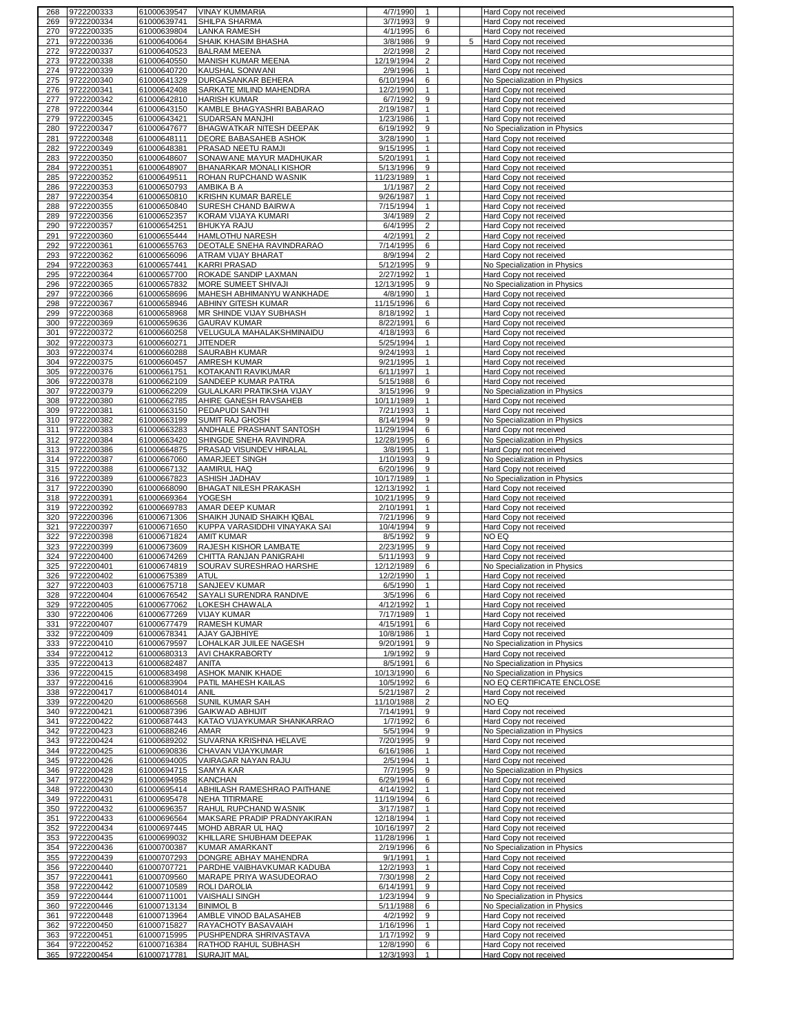| 269        | 9722200333               | 61000639547                | <b>VINAY KUMMARIA</b>                      | 4/7/1990               | $\overline{1}$    |   | Hard Copy not received                           |
|------------|--------------------------|----------------------------|--------------------------------------------|------------------------|-------------------|---|--------------------------------------------------|
|            | 9722200334               | 61000639741                | SHILPA SHARMA                              | 3/7/1993               | 9                 |   | Hard Copy not received                           |
| 270        | 9722200335               | 61000639804                | <b>LANKA RAMESH</b>                        | 4/1/1995               | 6                 |   | Hard Copy not received                           |
| 271        | 9722200336               | 61000640064                | SHAIK KHASIM BHASHA                        | 3/8/1986               | 9                 | 5 | Hard Copy not received                           |
| 272        | 9722200337               | 61000640523                | <b>BALRAM MEENA</b>                        | 2/2/1998               | $\overline{2}$    |   | Hard Copy not received                           |
| 273        | 9722200338               | 61000640550                | <b>MANISH KUMAR MEENA</b>                  | 12/19/1994             | $\overline{2}$    |   | Hard Copy not received                           |
| 274        | 9722200339               | 61000640720                | KAUSHAL SONWANI                            | 2/9/1996               | $\mathbf{1}$      |   | Hard Copy not received                           |
|            |                          |                            |                                            |                        |                   |   |                                                  |
| 275        | 9722200340               | 61000641329                | <b>DURGASANKAR BEHERA</b>                  | 6/10/1994              | 6                 |   | No Specialization in Physics                     |
| 276        | 9722200341               | 61000642408                | SARKATE MILIND MAHENDRA                    | 12/2/1990              | $\mathbf{1}$      |   | Hard Copy not received                           |
| 277        | 9722200342               | 61000642810                | <b>HARISH KUMAR</b>                        | 6/7/1992               | 9                 |   | Hard Copy not received                           |
| 278        | 9722200344               | 61000643150                | KAMBLE BHAGYASHRI BABARAO                  | 2/19/1987              | $\mathbf{1}$      |   | Hard Copy not received                           |
| 279        | 9722200345               | 61000643421                | SUDARSAN MANJHI                            | 1/23/1986              | $\mathbf{1}$      |   | Hard Copy not received                           |
| 280        | 9722200347               | 61000647677                | BHAGWATKAR NITESH DEEPAK                   | 6/19/1992              | 9                 |   | No Specialization in Physics                     |
| 281        | 9722200348               | 61000648111                | DEORE BABASAHEB ASHOK                      | 3/28/1990              | $\overline{1}$    |   | Hard Copy not received                           |
| 282        | 9722200349               | 61000648381                | PRASAD NEETU RAMJI                         | 9/15/1995              | $\mathbf{1}$      |   | Hard Copy not received                           |
| 283        | 9722200350               | 61000648607                | SONAWANE MAYUR MADHUKAR                    | 5/20/1991              | $\mathbf{1}$      |   | Hard Copy not received                           |
| 284        | 9722200351               | 61000648907                | BHANARKAR MONALI KISHOR                    | 5/13/1996              | 9                 |   |                                                  |
|            |                          |                            |                                            |                        |                   |   | Hard Copy not received                           |
| 285        | 9722200352               | 61000649511                | ROHAN RUPCHAND WASNIK                      | 11/23/1989             | $\mathbf{1}$      |   | Hard Copy not received                           |
| 286        | 9722200353               | 61000650793                | AMBIKA B A                                 | 1/1/1987               | $\overline{2}$    |   | Hard Copy not received                           |
| 287        | 9722200354               | 61000650810                | KRISHN KUMAR BARELE                        | 9/26/1987              | $\mathbf{1}$      |   | Hard Copy not received                           |
| 288        | 9722200355               | 61000650840                | SURESH CHAND BAIRWA                        | 7/15/1994              | $\mathbf{1}$      |   | Hard Copy not received                           |
| 289        | 9722200356               | 61000652357                | KORAM VIJAYA KUMARI                        | 3/4/1989               | $\overline{2}$    |   | Hard Copy not received                           |
| 290        | 9722200357               | 61000654251                | <b>BHUKYA RAJU</b>                         | 6/4/1995               | $\overline{2}$    |   | Hard Copy not received                           |
| 291        | 9722200360               | 61000655444                | HAMLOTHU NARESH                            | 4/2/1991               | $\overline{2}$    |   | Hard Copy not received                           |
| 292        | 9722200361               | 61000655763                | DEOTALE SNEHA RAVINDRARAO                  | 7/14/1995              | 6                 |   | Hard Copy not received                           |
| 293        | 9722200362               | 61000656096                | ATRAM VIJAY BHARAT                         | 8/9/1994               | $\overline{2}$    |   | Hard Copy not received                           |
| 294        | 9722200363               | 61000657441                | <b>KARRI PRASAD</b>                        | 5/12/1995              | 9                 |   | No Specialization in Physics                     |
|            |                          |                            |                                            |                        |                   |   |                                                  |
| 295        | 9722200364               | 61000657700                | ROKADE SANDIP LAXMAN                       | 2/27/1992              | $\mathbf{1}$      |   | Hard Copy not received                           |
| 296        | 9722200365               | 61000657832                | MORE SUMEET SHIVAJI                        | 12/13/1995             | 9                 |   | No Specialization in Physics                     |
| 297        | 9722200366               | 61000658696                | MAHESH ABHIMANYU WANKHADE                  | 4/8/1990               | $\mathbf{1}$      |   | Hard Copy not received                           |
| 298        | 9722200367               | 61000658946                | ABHINY GITESH KUMAR                        | 11/15/1996             | 6                 |   | Hard Copy not received                           |
| 299        | 9722200368               | 61000658968                | MR SHINDE VIJAY SUBHASH                    | 8/18/1992              | $\mathbf{1}$      |   | Hard Copy not received                           |
| 300        | 9722200369               | 61000659636                | <b>GAURAV KUMAR</b>                        | 8/22/1991              | 6                 |   | Hard Copy not received                           |
| 301        | 9722200372               | 61000660258                | VELUGULA MAHALAKSHMINAIDU                  | 4/18/1993              | 6                 |   | Hard Copy not received                           |
| 302        | 9722200373               | 61000660271                | <b>JITENDER</b>                            | 5/25/1994              | $\mathbf{1}$      |   | Hard Copy not received                           |
| 303        | 9722200374               | 61000660288                | <b>SAURABH KUMAR</b>                       | 9/24/1993              | $\mathbf{1}$      |   | Hard Copy not received                           |
|            |                          |                            |                                            |                        | $\mathbf{1}$      |   |                                                  |
| 304        | 9722200375               | 61000660457                | AMRESH KUMAR                               | 9/21/1995              |                   |   | Hard Copy not received                           |
| 305        | 9722200376               | 61000661751                | KOTAKANTI RAVIKUMAR                        | 6/11/1997              | $\mathbf{1}$      |   | Hard Copy not received                           |
| 306        | 9722200378               | 61000662109                | SANDEEP KUMAR PATRA                        | 5/15/1988              | 6                 |   | Hard Copy not received                           |
| 307        | 9722200379               | 61000662209                | GULALKARI PRATIKSHA VIJAY                  | 3/15/1996              | 9                 |   | No Specialization in Physics                     |
| 308        | 9722200380               | 61000662785                | AHIRE GANESH RAVSAHEB                      | 10/11/1989             | $\mathbf{1}$      |   | Hard Copy not received                           |
| 309        | 9722200381               | 61000663150                | PEDAPUDI SANTHI                            | 7/21/1993              | $\mathbf{1}$      |   | Hard Copy not received                           |
| 310        | 9722200382               | 61000663199                | SUMIT RAJ GHOSH                            | 8/14/1994              | 9                 |   | No Specialization in Physics                     |
| 311        | 9722200383               | 61000663283                | ANDHALE PRASHANT SANTOSH                   | 11/29/1994             | 6                 |   | Hard Copy not received                           |
| 312        | 9722200384               | 61000663420                | SHINGDE SNEHA RAVINDRA                     | 12/28/1995             | 6                 |   | No Specialization in Physics                     |
| 313        | 9722200386               | 61000664875                | PRASAD VISUNDEV HIRALAL                    | 3/8/1995               | $\mathbf{1}$      |   |                                                  |
|            |                          |                            |                                            |                        |                   |   | Hard Copy not received                           |
| 314        | 9722200387               | 61000667060                | AMARJEET SINGH                             | 1/10/1993              | 9                 |   | No Specialization in Physics                     |
| 315        | 9722200388               | 61000667132                | <b>AAMIRUL HAQ</b>                         | 6/20/1996              | 9                 |   | Hard Copy not received                           |
| 316        | 9722200389               | 61000667823                | <b>ASHISH JADHAV</b>                       | 10/17/1989             | $\mathbf{1}$      |   | No Specialization in Physics                     |
| 317        | 9722200390               | 61000668090                | <b>BHAGAT NILESH PRAKASH</b>               | 12/13/1992             | $\mathbf{1}$      |   | Hard Copy not received                           |
| 318        | 9722200391               | 61000669364                | YOGESH                                     | 10/21/1995             | 9                 |   | Hard Copy not received                           |
| 319        | 9722200392               | 61000669783                | AMAR DEEP KUMAR                            | 2/10/1991              | $\mathbf{1}$      |   | Hard Copy not received                           |
| 320        |                          |                            |                                            |                        | 9                 |   |                                                  |
|            | 9722200396               |                            |                                            |                        |                   |   |                                                  |
|            |                          | 61000671306                | SHAIKH JUNAID SHAIKH IQBAL                 | 7/21/1996              |                   |   | Hard Copy not received                           |
| 321        | 9722200397               | 61000671650                | KUPPA VARASIDDHI VINAYAKA SAI              | 10/4/1994              | 9                 |   | Hard Copy not received                           |
| 322        | 9722200398               | 61000671824                | <b>AMIT KUMAR</b>                          | 8/5/1992               | 9                 |   | NO EQ                                            |
| 323        | 9722200399               | 61000673609                | RAJESH KISHOR LAMBATE                      | 2/23/1995              | 9                 |   | Hard Copy not received                           |
| 324        | 9722200400               | 61000674269                | CHITTA RANJAN PANIGRAHI                    | 5/11/1993              | 9                 |   | Hard Copy not received                           |
| 325        | 9722200401               | 61000674819                | SOURAV SURESHRAO HARSHE                    | 12/12/1989             | 6                 |   | No Specialization in Physics                     |
| 326        | 9722200402               | 61000675389                | <b>ATUL</b>                                | 12/2/1990              | $\mathbf{1}$      |   | Hard Copy not received                           |
| 327        | 9722200403               | 61000675718                | SANJEEV KUMAR                              | 6/5/1990               | $\overline{1}$    |   | Hard Copy not received                           |
| 328        | 9722200404               | 61000676542                | SAYALI SURENDRA RANDIVE                    | $3/5/1996$ 6           |                   |   | Hard Copy not received                           |
| 329        | 9722200405               |                            | 61000677062 LOKESH CHAWALA                 | 4/12/1992              | $\mathbf{1}$      |   | Hard Copy not received                           |
| 330        | 9722200406               | 61000677269                | <b>VIJAY KUMAR</b>                         | 7/17/1989              | $\mathbf{1}$      |   | Hard Copy not received                           |
|            |                          |                            |                                            |                        | 6                 |   | Hard Copy not received                           |
| 331        | 9722200407               | 61000677479                | RAMESH KUMAR                               | 4/15/1991              |                   |   |                                                  |
| 332        | 9722200409               | 61000678341                | AJAY GAJBHIYE                              | 10/8/1986              | $\mathbf{1}$      |   | Hard Copy not received                           |
| 333        | 9722200410               | 61000679597                | LOHALKAR JUILEE NAGESH                     | 9/20/1991              | 9                 |   | No Specialization in Physics                     |
| 334        | 9722200412               | 61000680313                | AVI CHAKRABORTY                            | 1/9/1992               | 9                 |   | Hard Copy not received                           |
| 335        | 9722200413               | 61000682487                | ANITA                                      | 8/5/1991               | 6                 |   | No Specialization in Physics                     |
| 336        | 9722200415               | 61000683498                | ASHOK MANIK KHADE                          | 10/13/1990             | 6                 |   | No Specialization in Physics                     |
| 337        | 9722200416               | 61000683904                | PATIL MAHESH KAILAS                        | 10/5/1992              | 6                 |   | NO EQ CERTIFICATE ENCLOSE                        |
| 338        | 9722200417               | 61000684014                | ANIL                                       | 5/21/1987              | $\overline{2}$    |   | Hard Copy not received                           |
| 339        | 9722200420               | 61000686568                | SUNIL KUMAR SAH                            | 11/10/1988             | $\overline{2}$    |   | NO EQ                                            |
| 340        | 9722200421               | 61000687396                | <b>GAIKWAD ABHIJIT</b>                     | 7/14/1991              | 9                 |   | Hard Copy not received                           |
| 341        | 9722200422               | 61000687443                | KATAO VIJAYKUMAR SHANKARRAO                | 1/7/1992               | 6                 |   | Hard Copy not received                           |
| 342        | 9722200423               | 61000688246                | AMAR                                       | 5/5/1994               | 9                 |   | No Specialization in Physics                     |
| 343        | 9722200424               | 61000689202                | SUVARNA KRISHNA HELAVE                     | 7/20/1995              | 9                 |   | Hard Copy not received                           |
| 344        | 9722200425               | 61000690836                | CHAVAN VIJAYKUMAR                          | 6/16/1986              | $\mathbf{1}$      |   | Hard Copy not received                           |
| 345        |                          | 61000694005                |                                            | 2/5/1994               | $\mathbf{1}$      |   | Hard Copy not received                           |
|            | 9722200426               |                            | VAIRAGAR NAYAN RAJU                        |                        |                   |   |                                                  |
| 346        | 9722200428               | 61000694715                | SAMYA KAR                                  | 7/7/1995               | 9                 |   | No Specialization in Physics                     |
| 347        | 9722200429               | 61000694958                | <b>KANCHAN</b>                             | 6/29/1994              | 6                 |   | Hard Copy not received                           |
| 348        | 9722200430               | 61000695414                | ABHILASH RAMESHRAO PAITHANE                | 4/14/1992              | $\mathbf{1}$      |   | Hard Copy not received                           |
| 349        | 9722200431               | 61000695478                | <b>NEHA TITIRMARE</b>                      | 11/19/1994             | 6                 |   | Hard Copy not received                           |
| 350        | 9722200432               | 61000696357                | RAHUL RUPCHAND WASNIK                      | 3/17/1987              | $\mathbf{1}$      |   | Hard Copy not received                           |
| 351        | 9722200433               | 61000696564                | MAKSARE PRADIP PRADNYAKIRAN                | 12/18/1994             | $\mathbf{1}$      |   | Hard Copy not received                           |
| 352        | 9722200434               | 61000697445                | MOHD ABRAR UL HAQ                          | 10/16/1997             | $\overline{2}$    |   | Hard Copy not received                           |
| 353        | 9722200435               | 61000699032                | KHILLARE SHUBHAM DEEPAK                    | 11/28/1996             | $\mathbf{1}$      |   | Hard Copy not received                           |
| 354        | 9722200436               | 61000700387                | KUMAR AMARKANT                             | 2/19/1996              | 6                 |   | No Specialization in Physics                     |
| 355        | 9722200439               | 61000707293                | DONGRE ABHAY MAHENDRA                      | 9/1/1991               | $\mathbf{1}$      |   | Hard Copy not received                           |
| 356        | 9722200440               | 61000707721                | PARDHE VAIBHAVKUMAR KADUBA                 | 12/2/1993              | $\mathbf{1}$      |   | Hard Copy not received                           |
| 357        | 9722200441               | 61000709560                | MARAPE PRIYA WASUDEORAO                    | 7/30/1998              | $\overline{2}$    |   | Hard Copy not received                           |
|            |                          |                            |                                            |                        |                   |   |                                                  |
| 358        | 9722200442               | 61000710589                | ROLI DAROLIA                               | 6/14/1991              | 9                 |   | Hard Copy not received                           |
| 359        | 9722200444               | 61000711001                | <b>VAISHALI SINGH</b>                      | 1/23/1994              | 9                 |   | No Specialization in Physics                     |
| 360        | 9722200446               | 61000713134                | <b>BINIMOL B</b>                           | 5/11/1988              | 6                 |   | No Specialization in Physics                     |
| 361        | 9722200448               | 61000713964                | AMBLE VINOD BALASAHEB                      | 4/2/1992               | 9                 |   | Hard Copy not received                           |
| 362        | 9722200450               | 61000715827                | RAYACHOTY BASAVAIAH                        | 1/16/1996              | $\mathbf{1}$      |   | Hard Copy not received                           |
| 363        | 9722200451               | 61000715995                | PUSHPENDRA SHRIVASTAVA                     | 1/17/1992              | 9                 |   | Hard Copy not received                           |
| 364<br>365 | 9722200452<br>9722200454 | 61000716384<br>61000717781 | RATHOD RAHUL SUBHASH<br><b>SURAJIT MAL</b> | 12/8/1990<br>12/3/1993 | 6<br>$\mathbf{1}$ |   | Hard Copy not received<br>Hard Copy not received |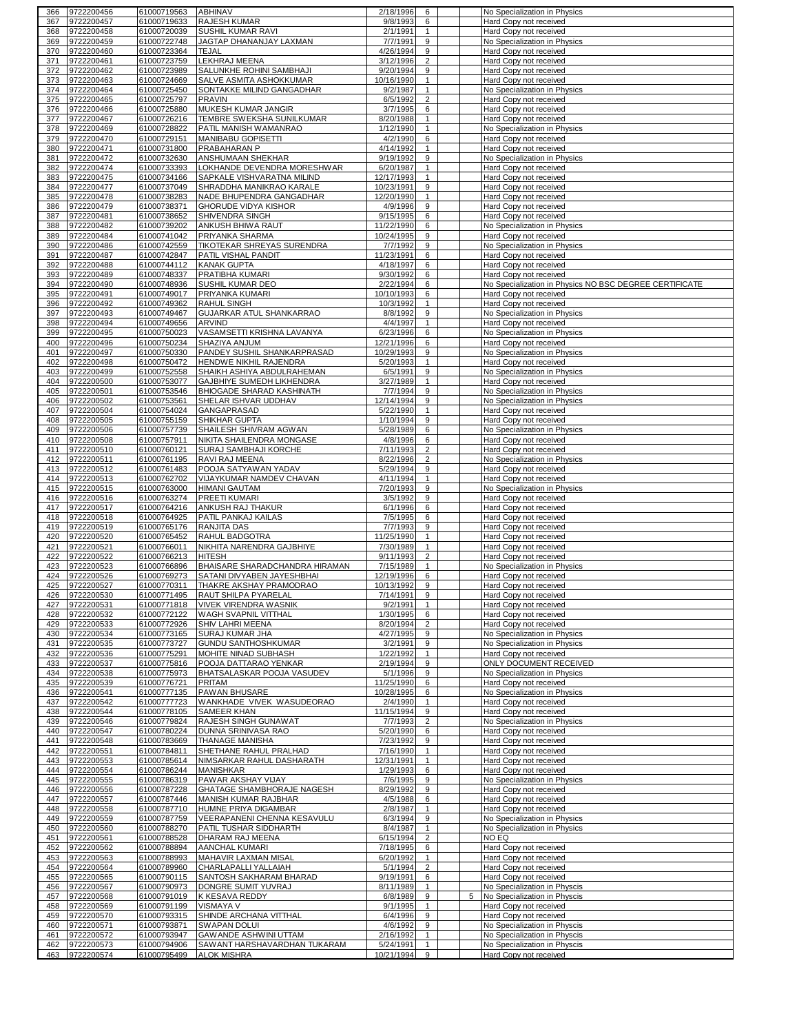| 367 | 9722200456 | 61000719563 | ABHINAV                           | 2/18/1996  | 6              |   | No Specialization in Physics                           |
|-----|------------|-------------|-----------------------------------|------------|----------------|---|--------------------------------------------------------|
|     | 9722200457 | 61000719633 | <b>RAJESH KUMAR</b>               | 9/8/1993   | 6              |   | Hard Copy not received                                 |
| 368 | 9722200458 | 61000720039 | SUSHIL KUMAR RAVI                 | 2/1/1991   | $\mathbf{1}$   |   | Hard Copy not received                                 |
| 369 | 9722200459 | 61000722748 | JAGTAP DHANANJAY LAXMAN           | 7/7/1991   | 9              |   | No Specialization in Physics                           |
| 370 | 9722200460 | 61000723364 | <b>TEJAL</b>                      | 4/26/1994  | 9              |   | Hard Copy not received                                 |
|     |            |             |                                   |            | $\overline{2}$ |   |                                                        |
| 371 | 9722200461 | 61000723759 | LEKHRAJ MEENA                     | 3/12/1996  |                |   | Hard Copy not received                                 |
| 372 | 9722200462 | 61000723989 | SALUNKHE ROHINI SAMBHAJI          | 9/20/1994  | 9              |   | Hard Copy not received                                 |
| 373 | 9722200463 | 61000724669 | SALVE ASMITA ASHOKKUMAR           | 10/16/1990 | $\mathbf{1}$   |   | Hard Copy not received                                 |
| 374 | 9722200464 | 61000725450 | SONTAKKE MILIND GANGADHAR         | 9/2/1987   | $\mathbf{1}$   |   | No Specialization in Physics                           |
| 375 | 9722200465 | 61000725797 | <b>PRAVIN</b>                     | 6/5/1992   | $\overline{2}$ |   | Hard Copy not received                                 |
| 376 | 9722200466 | 61000725880 | MUKESH KUMAR JANGIR               | 3/7/1995   | 6              |   | Hard Copy not received                                 |
| 377 | 9722200467 | 61000726216 | TEMBRE SWEKSHA SUNILKUMAR         | 8/20/1988  | $\mathbf{1}$   |   | Hard Copy not received                                 |
|     |            | 61000728822 |                                   |            | $\mathbf{1}$   |   |                                                        |
| 378 | 9722200469 |             | PATIL MANISH WAMANRAO             | 1/12/1990  |                |   | No Specialization in Physics                           |
| 379 | 9722200470 | 61000729151 | MANIBABU GOPISETTI                | 4/2/1990   | 6              |   | Hard Copy not received                                 |
| 380 | 9722200471 | 61000731800 | PRABAHARAN P                      | 4/14/1992  | $\mathbf{1}$   |   | Hard Copy not received                                 |
| 381 | 9722200472 | 61000732630 | ANSHUMAAN SHEKHAR                 | 9/19/1992  | 9              |   | No Specialization in Physics                           |
| 382 | 9722200474 | 61000733393 | LOKHANDE DEVENDRA MORESHWAR       | 6/20/1987  | $\mathbf{1}$   |   | Hard Copy not received                                 |
| 383 | 9722200475 | 61000734166 | SAPKALE VISHVARATNA MILIND        | 12/17/1993 | $\mathbf{1}$   |   | Hard Copy not received                                 |
| 384 | 9722200477 | 61000737049 | SHRADDHA MANIKRAO KARALE          | 10/23/1991 | 9              |   | Hard Copy not received                                 |
|     |            |             |                                   |            |                |   |                                                        |
| 385 | 9722200478 | 61000738283 | NADE BHUPENDRA GANGADHAR          | 12/20/1990 | $\mathbf{1}$   |   | Hard Copy not received                                 |
| 386 | 9722200479 | 61000738371 | <b>GHORUDE VIDYA KISHOR</b>       | 4/9/1996   | 9              |   | Hard Copy not received                                 |
| 387 | 9722200481 | 61000738652 | SHIVENDRA SINGH                   | 9/15/1995  | 6              |   | Hard Copy not received                                 |
| 388 | 9722200482 | 61000739202 | ANKUSH BHIWA RAUT                 | 11/22/1990 | 6              |   | No Specialization in Physics                           |
| 389 | 9722200484 | 61000741042 | PRIYANKA SHARMA                   | 10/24/1995 | 9              |   | Hard Copy not received                                 |
| 390 | 9722200486 | 61000742559 | <b>TIKOTEKAR SHREYAS SURENDRA</b> | 7/7/1992   | 9              |   | No Specialization in Physics                           |
|     |            |             |                                   |            |                |   |                                                        |
| 391 | 9722200487 | 61000742847 | PATIL VISHAL PANDIT               | 11/23/1991 | 6              |   | Hard Copy not received                                 |
| 392 | 9722200488 | 61000744112 | <b>KANAK GUPTA</b>                | 4/18/1997  | 6              |   | Hard Copy not received                                 |
| 393 | 9722200489 | 61000748337 | PRATIBHA KUMARI                   | 9/30/1992  | 6              |   | Hard Copy not received                                 |
| 394 | 9722200490 | 61000748936 | SUSHIL KUMAR DEO                  | 2/22/1994  | 6              |   | No Specialization in Physics NO BSC DEGREE CERTIFICATE |
| 395 | 9722200491 | 61000749017 | PRIYANKA KUMARI                   | 10/10/1993 | 6              |   | Hard Copy not received                                 |
| 396 | 9722200492 | 61000749362 | <b>RAHUL SINGH</b>                | 10/3/1992  | 1              |   | Hard Copy not received                                 |
|     |            |             |                                   |            |                |   |                                                        |
| 397 | 9722200493 | 61000749467 | GUJARKAR ATUL SHANKARRAO          | 8/8/1992   | 9              |   | No Specialization in Physics                           |
| 398 | 9722200494 | 61000749656 | ARVIND                            | 4/4/1997   | $\mathbf{1}$   |   | Hard Copy not received                                 |
| 399 | 9722200495 | 61000750023 | VASAMSETTI KRISHNA LAVANYA        | 6/23/1996  | 6              |   | No Specialization in Physics                           |
| 400 | 9722200496 | 61000750234 | SHAZIYA ANJUM                     | 12/21/1996 | 6              |   | Hard Copy not received                                 |
| 401 | 9722200497 | 61000750330 | PANDEY SUSHIL SHANKARPRASAD       | 10/29/1993 | 9              |   | No Specialization in Physics                           |
| 402 | 9722200498 | 61000750472 | HENDWE NIKHIL RAJENDRA            | 5/20/1993  | $\mathbf{1}$   |   | Hard Copy not received                                 |
| 403 | 9722200499 | 61000752558 | SHAIKH ASHIYA ABDULRAHEMAN        | 6/5/1991   | 9              |   |                                                        |
|     |            |             |                                   |            |                |   | No Specialization in Physics                           |
| 404 | 9722200500 | 61000753077 | GAJBHIYE SUMEDH LIKHENDRA         | 3/27/1989  | $\mathbf{1}$   |   | Hard Copy not received                                 |
| 405 | 9722200501 | 61000753546 | BHIOGADE SHARAD KASHINATH         | 7/7/1994   | 9              |   | No Specialization in Physics                           |
| 406 | 9722200502 | 61000753561 | SHELAR ISHVAR UDDHAV              | 12/14/1994 | 9              |   | No Specialization in Physics                           |
| 407 | 9722200504 | 61000754024 | GANGAPRASAD                       | 5/22/1990  | $\mathbf{1}$   |   | Hard Copy not received                                 |
| 408 | 9722200505 | 61000755159 | SHIKHAR GUPTA                     | 1/10/1994  | 9              |   | Hard Copy not received                                 |
| 409 | 9722200506 | 61000757739 | SHAILESH SHIVRAM AGWAN            | 5/28/1989  | 6              |   | No Specialization in Physics                           |
|     |            |             |                                   |            |                |   |                                                        |
| 410 | 9722200508 | 61000757911 | NIKITA SHAILENDRA MONGASE         | 4/8/1996   | 6              |   | Hard Copy not received                                 |
| 411 | 9722200510 | 61000760121 | SURAJ SAMBHAJI KORCHE             | 7/11/1993  | $\overline{2}$ |   | Hard Copy not received                                 |
| 412 | 9722200511 | 61000761195 | RAVI RAJ MEENA                    | 8/22/1996  | $\overline{2}$ |   | No Specialization in Physics                           |
| 413 | 9722200512 | 61000761483 | POOJA SATYAWAN YADAV              | 5/29/1994  | 9              |   | Hard Copy not received                                 |
| 414 | 9722200513 | 61000762702 | VIJAYKUMAR NAMDEV CHAVAN          | 4/11/1994  | $\mathbf{1}$   |   | Hard Copy not received                                 |
| 415 | 9722200515 | 61000763000 | <b>HIMANI GAUTAM</b>              | 7/20/1993  | 9              |   | No Specialization in Physics                           |
|     | 9722200516 |             | PREETI KUMARI                     | 3/5/1992   | 9              |   |                                                        |
| 416 |            | 61000763274 |                                   |            |                |   | Hard Copy not received                                 |
| 417 | 9722200517 | 61000764216 | ANKUSH RAJ THAKUR                 | 6/1/1996   | 6              |   | Hard Copy not received                                 |
| 418 | 9722200518 | 61000764925 | PATIL PANKAJ KAILAS               | 7/5/1995   | 6              |   | Hard Copy not received                                 |
| 419 | 9722200519 | 61000765176 | <b>RANJITA DAS</b>                | 7/7/1993   | 9              |   | Hard Copy not received                                 |
| 420 | 9722200520 | 61000765452 | RAHUL BADGOTRA                    | 11/25/1990 | $\mathbf{1}$   |   | Hard Copy not received                                 |
| 421 | 9722200521 | 61000766011 | NIKHITA NARENDRA GAJBHIYE         | 7/30/1989  | $\mathbf{1}$   |   | Hard Copy not received                                 |
| 422 | 9722200522 |             | <b>HITESH</b>                     | 9/11/1993  | $\overline{2}$ |   | Hard Copy not received                                 |
| 423 |            |             |                                   |            |                |   |                                                        |
|     |            | 61000766213 |                                   |            |                |   |                                                        |
|     | 9722200523 | 61000766896 | BHAISARE SHARADCHANDRA HIRAMAN    | 7/15/1989  | $\mathbf{1}$   |   | No Specialization in Physics                           |
| 424 | 9722200526 | 61000769273 | SATANI DIVYABEN JAYESHBHAI        | 12/19/1996 | 6              |   | Hard Copy not received                                 |
| 425 | 9722200527 | 61000770311 | THAKRE AKSHAY PRAMODRAO           | 10/13/1992 | 9              |   | Hard Copy not received                                 |
| 426 | 9722200530 | 61000771495 | RAUT SHILPA PYARELAL              | 7/14/1991  | $\mathbf{Q}$   |   | Hard Copy not received                                 |
| 427 | 9722200531 | 61000771818 | <b>VIVEK VIRENDRA WASNIK</b>      | 9/2/1991   | $\mathbf{1}$   |   | Hard Copy not received                                 |
| 428 |            |             |                                   |            |                |   | Hard Copy not received                                 |
|     | 9722200532 | 61000772122 | WAGH SVAPNIL VITTHAL              | 1/30/1995  | 6              |   |                                                        |
| 429 | 9722200533 | 61000772926 | SHIV LAHRI MEENA                  | 8/20/1994  | $\overline{2}$ |   | Hard Copy not received                                 |
| 430 | 9722200534 | 61000773165 | <b>SURAJ KUMAR JHA</b>            | 4/27/1995  | 9              |   | No Specialization in Physics                           |
| 431 | 9722200535 | 61000773727 | <b>GUNDU SANTHOSHKUMAR</b>        | 3/2/1991   | 9              |   | No Specialization in Physics                           |
| 432 | 9722200536 | 61000775291 | MOHITE NINAD SUBHASH              | 1/22/1992  | 1              |   | Hard Copy not received                                 |
| 433 | 9722200537 | 61000775816 | POOJA DATTARAO YENKAR             | 2/19/1994  | 9              |   | ONLY DOCUMENT RECEIVED                                 |
| 434 | 9722200538 | 61000775973 | BHATSALASKAR POOJA VASUDEV        | 5/1/1996   | 9              |   | No Specialization in Physics                           |
| 435 | 9722200539 | 61000776721 | PRITAM                            | 11/25/1990 | 6              |   | Hard Copy not received                                 |
| 436 | 9722200541 |             |                                   |            |                |   |                                                        |
|     |            | 61000777135 | PAWAN BHUSARE                     | 10/28/1995 | 6              |   | No Specialization in Physics                           |
| 437 | 9722200542 | 61000777723 | WANKHADE VIVEK WASUDEORAO         | 2/4/1990   | $\mathbf{1}$   |   | Hard Copy not received                                 |
| 438 | 9722200544 | 61000778105 | SAMEER KHAN                       | 11/15/1994 | 9              |   | Hard Copy not received                                 |
| 439 | 9722200546 | 61000779824 | RAJESH SINGH GUNAWAT              | 7/7/1993   | $\overline{2}$ |   | No Specialization in Physics                           |
| 440 | 9722200547 | 61000780224 | DUNNA SRINIVASA RAO               | 5/20/1990  | 6              |   | Hard Copy not received                                 |
| 441 | 9722200548 | 61000783669 | THANAGE MANISHA                   | 7/23/1992  | 9              |   | Hard Copy not received                                 |
| 442 | 9722200551 | 61000784811 | SHETHANE RAHUL PRALHAD            | 7/16/1990  | $\mathbf{1}$   |   | Hard Copy not received                                 |
| 443 |            |             |                                   | 12/31/1991 | $\mathbf{1}$   |   |                                                        |
|     | 9722200553 | 61000785614 | NIMSARKAR RAHUL DASHARATH         |            |                |   | Hard Copy not received                                 |
| 444 | 9722200554 | 61000786244 | <b>MANISHKAR</b>                  | 1/29/1993  | 6              |   | Hard Copy not received                                 |
| 445 | 9722200555 | 61000786319 | PAWAR AKSHAY VIJAY                | 7/6/1995   | 9              |   | No Specialization in Physics                           |
| 446 | 9722200556 | 61000787228 | GHATAGE SHAMBHORAJE NAGESH        | 8/29/1992  | 9              |   | Hard Copy not received                                 |
| 447 | 9722200557 | 61000787446 | MANISH KUMAR RAJBHAR              | 4/5/1988   | 6              |   | Hard Copy not received                                 |
| 448 | 9722200558 | 61000787710 | HUMNE PRIYA DIGAMBAR              | 2/8/1987   | 1              |   | Hard Copy not received                                 |
| 449 | 9722200559 | 61000787759 | VEERAPANENI CHENNA KESAVULU       | 6/3/1994   | 9              |   | No Specialization in Physics                           |
|     |            |             |                                   |            |                |   |                                                        |
| 450 | 9722200560 | 61000788270 | PATIL TUSHAR SIDDHARTH            | 8/4/1987   | $\mathbf{1}$   |   | No Specialization in Physics                           |
| 451 | 9722200561 | 61000788528 | DHARAM RAJ MEENA                  | 6/15/1994  | $\overline{2}$ |   | NO EQ                                                  |
| 452 | 9722200562 | 61000788894 | AANCHAL KUMARI                    | 7/18/1995  | 6              |   | Hard Copy not received                                 |
| 453 | 9722200563 | 61000788993 | MAHAVIR LAXMAN MISAL              | 6/20/1992  | 1              |   | Hard Copy not received                                 |
| 454 | 9722200564 | 61000789960 | CHARLAPALLI YALLAIAH              | 5/1/1994   | $\overline{2}$ |   | Hard Copy not received                                 |
| 455 | 9722200565 | 61000790115 | SANTOSH SAKHARAM BHARAD           | 9/19/1991  | 6              |   | Hard Copy not received                                 |
|     |            |             |                                   |            |                |   |                                                        |
| 456 | 9722200567 | 61000790973 | DONGRE SUMIT YUVRAJ               | 8/11/1989  | 1              |   | No Specialization in Physcis                           |
| 457 | 9722200568 | 61000791019 | K KESAVA REDDY                    | 6/8/1989   | 9              | 5 | No Specialization in Physcis                           |
| 458 | 9722200569 | 61000791199 | <b>VISMAYA V</b>                  | 9/1/1995   | $\mathbf{1}$   |   | Hard Copy not received                                 |
| 459 | 9722200570 | 61000793315 | SHINDE ARCHANA VITTHAL            | 6/4/1996   | 9              |   | Hard Copy not received                                 |
| 460 | 9722200571 | 61000793871 | <b>SWAPAN DOLUI</b>               | 4/6/1992   | 9              |   | No Specialization in Physcis                           |
| 461 | 9722200572 | 61000793947 | GAWANDE ASHWINI UTTAM             | 2/16/1992  | 1              |   | No Specialization in Physcis                           |
| 462 | 9722200573 | 61000794906 | SAWANT HARSHAVARDHAN TUKARAM      | 5/24/1991  | $\mathbf{1}$   |   | No Specialization in Physcis                           |
| 463 | 9722200574 | 61000795499 | <b>ALOK MISHRA</b>                | 10/21/1994 | 9              |   | Hard Copy not received                                 |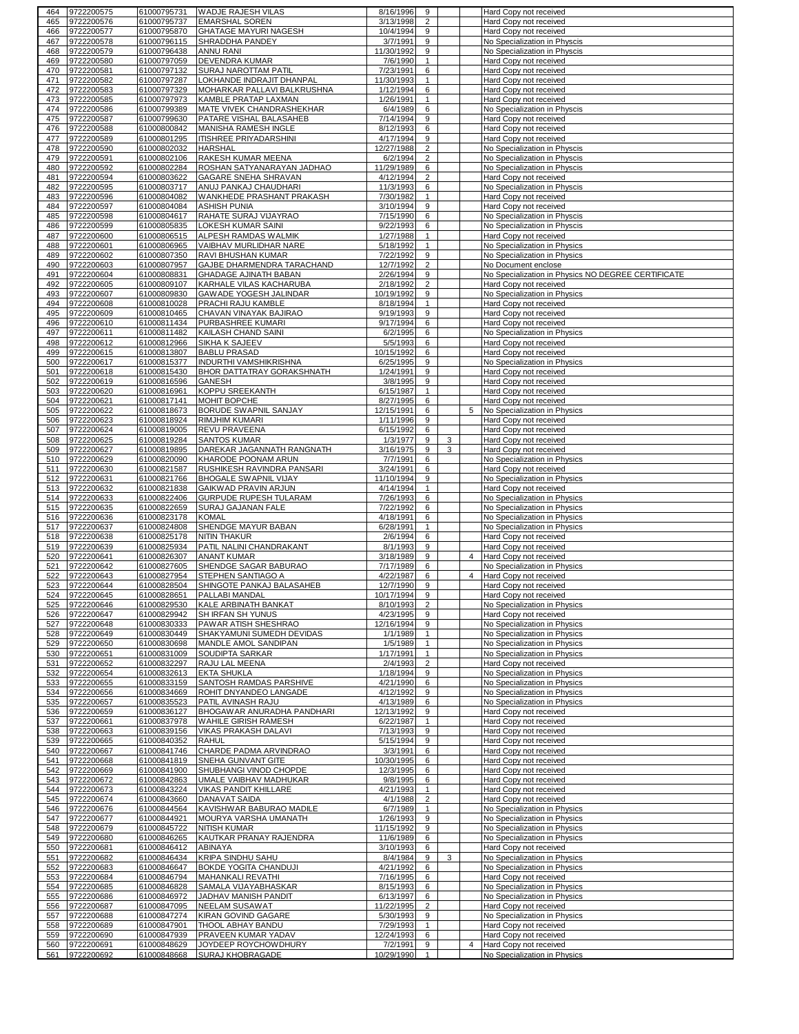| 464 | 9722200575 | 61000795731 | <b>WADJE RAJESH VILAS</b>             | 8/16/1996  | 9              |   |                | Hard Copy not received                             |
|-----|------------|-------------|---------------------------------------|------------|----------------|---|----------------|----------------------------------------------------|
| 465 | 9722200576 | 61000795737 | <b>EMARSHAL SOREN</b>                 | 3/13/1998  | $\overline{2}$ |   |                | Hard Copy not received                             |
| 466 | 9722200577 | 61000795870 | <b>GHATAGE MAYURI NAGESH</b>          | 10/4/1994  | 9              |   |                | Hard Copy not received                             |
| 467 | 9722200578 | 61000796115 | SHRADDHA PANDEY                       | 3/7/1991   | 9              |   |                | No Specialization in Physcis                       |
| 468 | 9722200579 | 61000796438 | <b>ANNU RANI</b>                      | 11/30/1992 | 9              |   |                | No Specialization in Physcis                       |
|     |            |             |                                       |            | 1              |   |                |                                                    |
| 469 | 9722200580 | 61000797059 | DEVENDRA KUMAR                        | 7/6/1990   |                |   |                | Hard Copy not received                             |
| 470 | 9722200581 | 61000797132 | SURAJ NAROTTAM PATIL                  | 7/23/1991  | 6              |   |                | Hard Copy not received                             |
| 471 | 9722200582 | 61000797287 | LOKHANDE INDRAJIT DHANPAL             | 11/30/1993 | $\mathbf{1}$   |   |                | Hard Copy not received                             |
| 472 | 9722200583 | 61000797329 | MOHARKAR PALLAVI BALKRUSHNA           | 1/12/1994  | 6              |   |                | Hard Copy not received                             |
| 473 | 9722200585 | 61000797973 | KAMBLE PRATAP LAXMAN                  | 1/26/1991  | $\mathbf{1}$   |   |                | Hard Copy not received                             |
| 474 | 9722200586 | 61000799389 | MATE VIVEK CHANDRASHEKHAR             | 6/4/1989   | 6              |   |                | No Specialization in Physcis                       |
| 475 | 9722200587 | 61000799630 | PATARE VISHAL BALASAHEB               | 7/14/1994  | 9              |   |                | Hard Copy not received                             |
|     |            |             |                                       |            |                |   |                |                                                    |
| 476 | 9722200588 | 61000800842 | MANISHA RAMESH INGLE                  | 8/12/1993  | 6              |   |                | Hard Copy not received                             |
| 477 | 9722200589 | 61000801295 | <b>ITISHREE PRIYADARSHINI</b>         | 4/17/1994  | 9              |   |                | Hard Copy not received                             |
| 478 | 9722200590 | 61000802032 | <b>HARSHAL</b>                        | 12/27/1988 | $\overline{2}$ |   |                | No Specialization in Physcis                       |
| 479 | 9722200591 | 61000802106 | RAKESH KUMAR MEENA                    | 6/2/1994   | 2              |   |                | No Specialization in Physcis                       |
| 480 | 9722200592 | 61000802284 | ROSHAN SATYANARAYAN JADHAO            | 11/29/1989 | 6              |   |                | No Specialization in Physcis                       |
| 481 | 9722200594 | 61000803622 | <b>GAGARE SNEHA SHRAVAN</b>           | 4/12/1994  | $\overline{2}$ |   |                | Hard Copy not received                             |
| 482 | 9722200595 | 61000803717 | ANUJ PANKAJ CHAUDHARI                 | 11/3/1993  | 6              |   |                |                                                    |
|     |            |             |                                       |            |                |   |                | No Specialization in Physcis                       |
| 483 | 9722200596 | 61000804082 | WANKHEDE PRASHANT PRAKASH             | 7/30/1982  | $\mathbf{1}$   |   |                | Hard Copy not received                             |
| 484 | 9722200597 | 61000804084 | <b>ASHISH PUNIA</b>                   | 3/10/1994  | 9              |   |                | Hard Copy not received                             |
| 485 | 9722200598 | 61000804617 | RAHATE SURAJ VIJAYRAO                 | 7/15/1990  | 6              |   |                | No Specialization in Physcis                       |
| 486 | 9722200599 | 61000805835 | <b>LOKESH KUMAR SAINI</b>             | 9/22/1993  | 6              |   |                | No Specialization in Physcis                       |
| 487 | 9722200600 | 61000806515 | ALPESH RAMDAS WALMIK                  | 1/27/1988  | $\mathbf{1}$   |   |                | Hard Copy not received                             |
| 488 | 9722200601 | 61000806965 | VAIBHAV MURLIDHAR NARE                | 5/18/1992  | $\mathbf{1}$   |   |                | No Specialization in Physics                       |
|     |            |             |                                       |            |                |   |                |                                                    |
| 489 | 9722200602 | 61000807350 | RAVI BHUSHAN KUMAR                    | 7/22/1992  | 9              |   |                | No Specialization in Physics                       |
| 490 | 9722200603 | 61000807957 | GAJBE DHARMENDRA TARACHAND            | 12/7/1992  | $\overline{2}$ |   |                | No Document enclose                                |
| 491 | 9722200604 | 61000808831 | GHADAGE AJINATH BABAN                 | 2/26/1994  | 9              |   |                | No Specialization in Physics NO DEGREE CERTIFICATE |
| 492 | 9722200605 | 61000809107 | KARHALE VILAS KACHARUBA               | 2/18/1992  | $\overline{2}$ |   |                | Hard Copy not received                             |
| 493 | 9722200607 | 61000809830 | GAWADE YOGESH JALINDAR                | 10/19/1992 | 9              |   |                | No Specialization in Physics                       |
| 494 | 9722200608 | 61000810028 | PRACHI RAJU KAMBLE                    | 8/18/1994  | 1              |   |                | Hard Copy not received                             |
|     |            |             |                                       |            |                |   |                |                                                    |
| 495 | 9722200609 | 61000810465 | CHAVAN VINAYAK BAJIRAO                | 9/19/1993  | 9              |   |                | Hard Copy not received                             |
| 496 | 9722200610 | 61000811434 | PURBASHREE KUMARI                     | 9/17/1994  | 6              |   |                | Hard Copy not received                             |
| 497 | 9722200611 | 61000811482 | KAILASH CHAND SAINI                   | 6/2/1995   | 6              |   |                | No Specialization in Physics                       |
| 498 | 9722200612 | 61000812966 | <b>SIKHA K SAJEEV</b>                 | 5/5/1993   | 6              |   |                | Hard Copy not received                             |
| 499 | 9722200615 | 61000813807 | <b>BABLU PRASAD</b>                   | 10/15/1992 | 6              |   |                | Hard Copy not received                             |
| 500 | 9722200617 | 61000815377 | <b>INDURTHI VAMSHIKRISHNA</b>         | 6/25/1995  | 9              |   |                | No Specialization in Physics                       |
|     |            |             |                                       |            |                |   |                |                                                    |
| 501 | 9722200618 | 61000815430 | <b>BHOR DATTATRAY GORAKSHNATH</b>     | 1/24/1991  | 9              |   |                | Hard Copy not received                             |
| 502 | 9722200619 | 61000816596 | <b>GANESH</b>                         | 3/8/1995   | 9              |   |                | Hard Copy not received                             |
| 503 | 9722200620 | 61000816961 | KOPPU SREEKANTH                       | 6/15/1987  | $\mathbf{1}$   |   |                | Hard Copy not received                             |
| 504 | 9722200621 | 61000817141 | MOHIT BOPCHE                          | 8/27/1995  | 6              |   |                | Hard Copy not received                             |
| 505 | 9722200622 | 61000818673 | BORUDE SWAPNIL SANJAY                 | 12/15/1991 | 6              |   | 5              | No Specialization in Physics                       |
| 506 | 9722200623 | 61000818924 | <b>RIMJHIM KUMARI</b>                 | 1/11/1996  | 9              |   |                | Hard Copy not received                             |
|     |            | 61000819005 |                                       | 6/15/1992  | 6              |   |                |                                                    |
| 507 | 9722200624 |             | REVU PRAVEENA                         |            |                |   |                | Hard Copy not received                             |
| 508 | 9722200625 | 61000819284 | <b>SANTOS KUMAR</b>                   | 1/3/1977   | 9              | 3 |                | Hard Copy not received                             |
| 509 | 9722200627 | 61000819895 | DAREKAR JAGANNATH RANGNATH            | 3/16/1975  | 9              | 3 |                | Hard Copy not received                             |
| 510 | 9722200629 | 61000820090 | KHARODE POONAM ARUN                   | 7/7/1991   | 6              |   |                | No Specialization in Physics                       |
| 511 | 9722200630 | 61000821587 | RUSHIKESH RAVINDRA PANSARI            | 3/24/1991  | 6              |   |                | Hard Copy not received                             |
| 512 | 9722200631 | 61000821766 | <b>BHOGALE SWAPNIL VIJAY</b>          | 11/10/1994 | 9              |   |                | No Specialization in Physics                       |
| 513 | 9722200632 | 61000821838 | <b>GAIKWAD PRAVIN ARJUN</b>           | 4/14/1994  | $\mathbf{1}$   |   |                | Hard Copy not received                             |
|     |            |             |                                       |            |                |   |                |                                                    |
| 514 | 9722200633 | 61000822406 | GURPUDE RUPESH TULARAM                | 7/26/1993  | 6              |   |                | No Specialization in Physics                       |
| 515 | 9722200635 | 61000822659 | SURAJ GAJANAN FALE                    | 7/22/1992  | 6              |   |                | No Specialization in Physics                       |
| 516 | 9722200636 | 61000823178 | <b>KOMAL</b>                          | 4/18/1991  | 6              |   |                | No Specialization in Physics                       |
| 517 | 9722200637 | 61000824808 | SHENDGE MAYUR BABAN                   | 6/28/1991  | $\mathbf{1}$   |   |                | No Specialization in Physics                       |
| 518 | 9722200638 | 61000825178 | <b>NITIN THAKUR</b>                   | 2/6/1994   | 6              |   |                | Hard Copy not received                             |
| 519 | 9722200639 | 61000825934 | PATIL NALINI CHANDRAKANT              | 8/1/1993   | 9              |   |                | Hard Copy not received                             |
| 520 | 9722200641 | 61000826307 | <b>ANANT KUMAR</b>                    | 3/18/1989  | 9              |   | $\overline{4}$ |                                                    |
|     |            |             |                                       |            |                |   |                | Hard Copy not received                             |
| 521 | 9722200642 | 61000827605 | SHENDGE SAGAR BABURAO                 | 7/17/1989  | 6              |   |                | No Specialization in Physics                       |
| 522 | 9722200643 | 61000827954 | STEPHEN SANTIAGO A                    | 4/22/1987  | 6              |   | $\overline{4}$ | Hard Copy not received                             |
| 523 | 9722200644 |             | 61000828504 SHINGOTE PANKAJ BALASAHEB | 12/7/1990  | 9              |   |                | Hard Copy not received                             |
| 524 | 9722200645 | 61000828651 | PALLABI MANDAL                        | 10/17/1994 | $\mathbf{Q}$   |   |                | Hard Copy not received                             |
| 525 | 9722200646 | 61000829530 | KALE ARBINATH BANKAT                  | 8/10/1993  | $\overline{2}$ |   |                | No Specialization in Physics                       |
| 526 | 9722200647 | 61000829942 | SH IRFAN SH YUNUS                     | 4/23/1995  | 9              |   |                | Hard Copy not received                             |
| 527 | 9722200648 | 61000830333 | PAWAR ATISH SHESHRAO                  | 12/16/1994 | 9              |   |                | No Specialization in Physics                       |
|     |            |             |                                       |            |                |   |                |                                                    |
| 528 | 9722200649 | 61000830449 | SHAKYAMUNI SUMEDH DEVIDAS             | 1/1/1989   | $\mathbf{1}$   |   |                | No Specialization in Physics                       |
| 529 | 9722200650 | 61000830698 | MANDLE AMOL SANDIPAN                  | 1/5/1989   | $\mathbf{1}$   |   |                | No Specialization in Physics                       |
| 530 | 9722200651 | 61000831009 | SOUDIPTA SARKAR                       | 1/17/1991  | $\mathbf{1}$   |   |                | No Specialization in Physics                       |
| 531 | 9722200652 | 61000832297 | RAJU LAL MEENA                        | 2/4/1993   | $\overline{2}$ |   |                | Hard Copy not received                             |
| 532 | 9722200654 | 61000832613 | <b>EKTA SHUKLA</b>                    | 1/18/1994  | 9              |   |                | No Specialization in Physics                       |
| 533 | 9722200655 | 61000833159 | SANTOSH RAMDAS PARSHIVE               | 4/21/1990  | 6              |   |                | No Specialization in Physics                       |
| 534 | 9722200656 | 61000834669 | ROHIT DNYANDEO LANGADE                | 4/12/1992  | 9              |   |                | No Specialization in Physics                       |
| 535 | 9722200657 | 61000835523 | PATIL AVINASH RAJU                    | 4/13/1989  | 6              |   |                | No Specialization in Physics                       |
|     |            |             |                                       |            |                |   |                |                                                    |
| 536 | 9722200659 | 61000836127 | BHOGAWAR ANURADHA PANDHARI            | 12/13/1992 | 9              |   |                | Hard Copy not received                             |
| 537 | 9722200661 | 61000837978 | WAHILE GIRISH RAMESH                  | 6/22/1987  | $\mathbf{1}$   |   |                | Hard Copy not received                             |
| 538 | 9722200663 | 61000839156 | VIKAS PRAKASH DALAVI                  | 7/13/1993  | 9              |   |                | Hard Copy not received                             |
| 539 | 9722200665 | 61000840352 | <b>RAHUL</b>                          | 5/15/1994  | 9              |   |                | Hard Copy not received                             |
| 540 | 9722200667 | 61000841746 | CHARDE PADMA ARVINDRAO                | 3/3/1991   | 6              |   |                | Hard Copy not received                             |
| 541 | 9722200668 | 61000841819 | SNEHA GUNVANT GITE                    | 10/30/1995 | 6              |   |                | Hard Copy not received                             |
|     |            |             |                                       | 12/3/1995  | 6              |   |                |                                                    |
| 542 | 9722200669 | 61000841900 | SHUBHANGI VINOD CHOPDE                |            |                |   |                | Hard Copy not received                             |
| 543 | 9722200672 | 61000842863 | UMALE VAIBHAV MADHUKAR                | 9/8/1995   | 6              |   |                | Hard Copy not received                             |
| 544 | 9722200673 | 61000843224 | VIKAS PANDIT KHILLARE                 | 4/21/1993  | $\mathbf{1}$   |   |                | Hard Copy not received                             |
| 545 | 9722200674 | 61000843660 | DANAVAT SAIDA                         | 4/1/1988   | $\overline{2}$ |   |                | Hard Copy not received                             |
| 546 | 9722200676 | 61000844564 | KAVISHWAR BABURAO MADILE              | 6/7/1989   | 1              |   |                | No Specialization in Physics                       |
| 547 | 9722200677 | 61000844921 | MOURYA VARSHA UMANATH                 | 1/26/1993  | 9              |   |                | No Specialization in Physics                       |
| 548 | 9722200679 | 61000845722 | <b>NITISH KUMAR</b>                   | 11/15/1992 | 9              |   |                | No Specialization in Physics                       |
|     |            |             |                                       |            |                |   |                |                                                    |
| 549 | 9722200680 | 61000846265 | KAUTKAR PRANAY RAJENDRA               | 11/6/1989  | 6              |   |                | No Specialization in Physics                       |
| 550 | 9722200681 | 61000846412 | ABINAYA                               | 3/10/1993  | 6              |   |                | Hard Copy not received                             |
| 551 | 9722200682 | 61000846434 | <b>KRIPA SINDHU SAHU</b>              | 8/4/1984   | 9              | 3 |                | No Specialization in Physics                       |
| 552 | 9722200683 | 61000846647 | BOKDE YOGITA CHANDUJI                 | 4/21/1992  | 6              |   |                | No Specialization in Physics                       |
| 553 | 9722200684 | 61000846794 | MAHANKALI REVATHI                     | 7/16/1995  | 6              |   |                | Hard Copy not received                             |
| 554 |            |             | SAMALA VIJAYABHASKAR                  | 8/15/1993  | 6              |   |                | No Specialization in Physics                       |
|     |            |             |                                       |            |                |   |                |                                                    |
|     | 9722200685 | 61000846828 |                                       |            |                |   |                |                                                    |
| 555 | 9722200686 | 61000846972 | JADHAV MANISH PANDIT                  | 6/13/1997  | 6              |   |                | No Specialization in Physics                       |
| 556 | 9722200687 | 61000847095 | NEELAM SUSAWAT                        | 11/22/1995 | $\overline{2}$ |   |                | Hard Copy not received                             |
| 557 | 9722200688 | 61000847274 | KIRAN GOVIND GAGARE                   | 5/30/1993  | 9              |   |                | No Specialization in Physics                       |
| 558 | 9722200689 | 61000847901 | THOOL ABHAY BANDU                     | 7/29/1993  | 1              |   |                | Hard Copy not received                             |
| 559 | 9722200690 | 61000847939 | PRAVEEN KUMAR YADAV                   | 12/24/1993 | 6              |   |                | Hard Copy not received                             |
| 560 | 9722200691 | 61000848629 | JOYDEEP ROYCHOWDHURY                  | 7/2/1991   | 9              |   | $\overline{4}$ | Hard Copy not received                             |